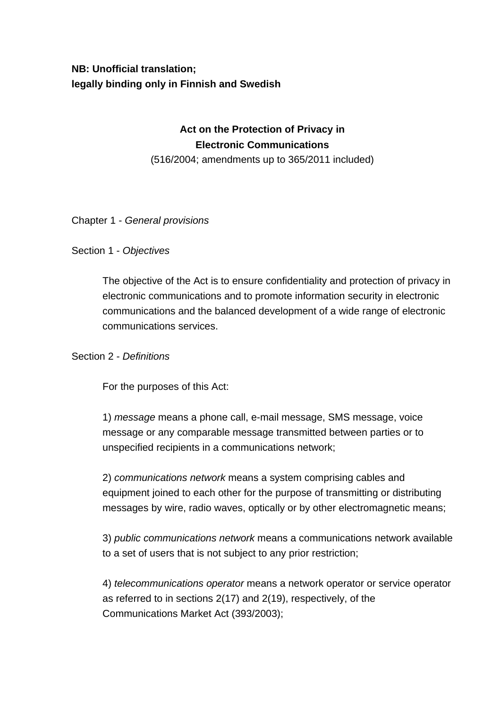# **NB: Unofficial translation; legally binding only in Finnish and Swedish**

# **Act on the Protection of Privacy in Electronic Communications**

(516/2004; amendments up to 365/2011 included)

#### Chapter 1 - *General provisions*

#### Section 1 - *Objectives*

The objective of the Act is to ensure confidentiality and protection of privacy in electronic communications and to promote information security in electronic communications and the balanced development of a wide range of electronic communications services.

#### Section 2 - *Definitions*

For the purposes of this Act:

1) *message* means a phone call, e-mail message, SMS message, voice message or any comparable message transmitted between parties or to unspecified recipients in a communications network;

2) *communications network* means a system comprising cables and equipment joined to each other for the purpose of transmitting or distributing messages by wire, radio waves, optically or by other electromagnetic means;

3) *public communications network* means a communications network available to a set of users that is not subject to any prior restriction;

4) *telecommunications operator* means a network operator or service operator as referred to in sections 2(17) and 2(19), respectively, of the Communications Market Act (393/2003);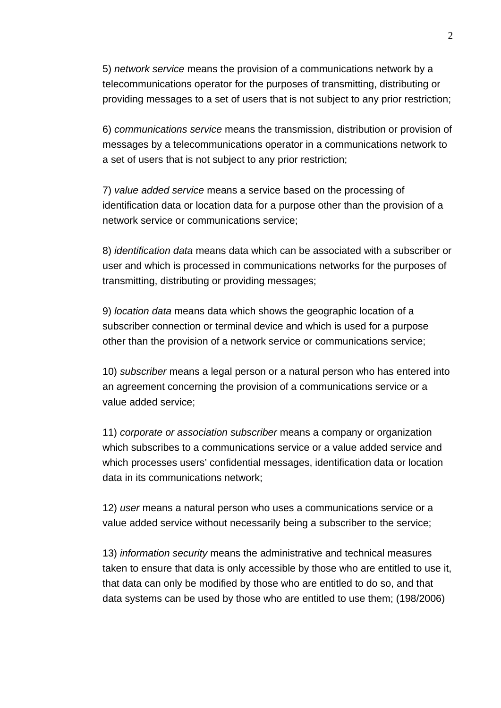5) *network service* means the provision of a communications network by a telecommunications operator for the purposes of transmitting, distributing or providing messages to a set of users that is not subject to any prior restriction;

6) *communications service* means the transmission, distribution or provision of messages by a telecommunications operator in a communications network to a set of users that is not subject to any prior restriction;

7) *value added service* means a service based on the processing of identification data or location data for a purpose other than the provision of a network service or communications service;

8) *identification data* means data which can be associated with a subscriber or user and which is processed in communications networks for the purposes of transmitting, distributing or providing messages;

9) *location data* means data which shows the geographic location of a subscriber connection or terminal device and which is used for a purpose other than the provision of a network service or communications service;

10) *subscriber* means a legal person or a natural person who has entered into an agreement concerning the provision of a communications service or a value added service;

11) *corporate or association subscriber* means a company or organization which subscribes to a communications service or a value added service and which processes users' confidential messages, identification data or location data in its communications network;

12) *user* means a natural person who uses a communications service or a value added service without necessarily being a subscriber to the service;

13) *information security* means the administrative and technical measures taken to ensure that data is only accessible by those who are entitled to use it, that data can only be modified by those who are entitled to do so, and that data systems can be used by those who are entitled to use them; (198/2006)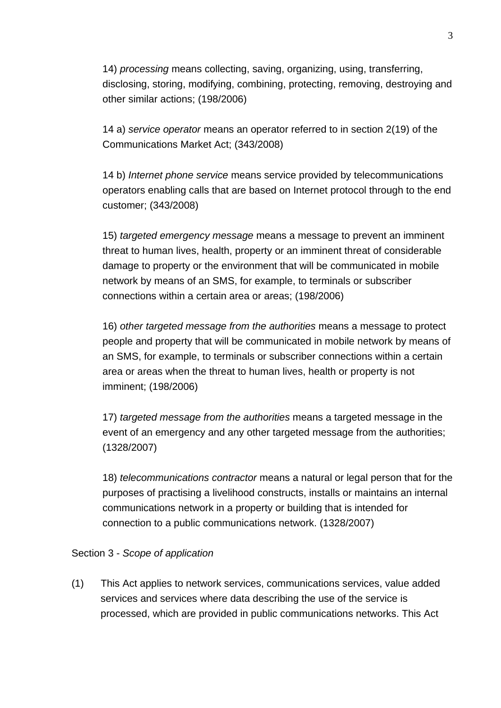14) *processing* means collecting, saving, organizing, using, transferring, disclosing, storing, modifying, combining, protecting, removing, destroying and other similar actions; (198/2006)

14 a) *service operator* means an operator referred to in section 2(19) of the Communications Market Act; (343/2008)

14 b) *Internet phone service* means service provided by telecommunications operators enabling calls that are based on Internet protocol through to the end customer; (343/2008)

15) *targeted emergency message* means a message to prevent an imminent threat to human lives, health, property or an imminent threat of considerable damage to property or the environment that will be communicated in mobile network by means of an SMS, for example, to terminals or subscriber connections within a certain area or areas; (198/2006)

16) *other targeted message from the authorities* means a message to protect people and property that will be communicated in mobile network by means of an SMS, for example, to terminals or subscriber connections within a certain area or areas when the threat to human lives, health or property is not imminent; (198/2006)

17) *targeted message from the authorities* means a targeted message in the event of an emergency and any other targeted message from the authorities; (1328/2007)

18) *telecommunications contractor* means a natural or legal person that for the purposes of practising a livelihood constructs, installs or maintains an internal communications network in a property or building that is intended for connection to a public communications network. (1328/2007)

## Section 3 - *Scope of application*

(1) This Act applies to network services, communications services, value added services and services where data describing the use of the service is processed, which are provided in public communications networks. This Act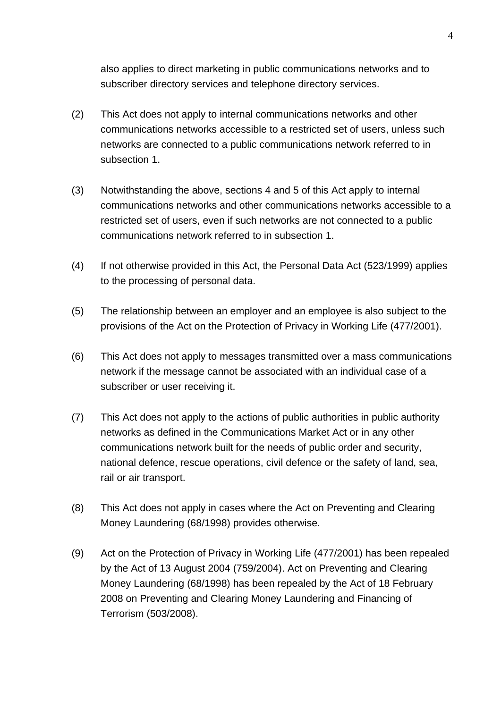also applies to direct marketing in public communications networks and to subscriber directory services and telephone directory services.

- (2) This Act does not apply to internal communications networks and other communications networks accessible to a restricted set of users, unless such networks are connected to a public communications network referred to in subsection 1.
- (3) Notwithstanding the above, sections 4 and 5 of this Act apply to internal communications networks and other communications networks accessible to a restricted set of users, even if such networks are not connected to a public communications network referred to in subsection 1.
- (4) If not otherwise provided in this Act, the Personal Data Act (523/1999) applies to the processing of personal data.
- (5) The relationship between an employer and an employee is also subject to the provisions of the Act on the Protection of Privacy in Working Life (477/2001).
- (6) This Act does not apply to messages transmitted over a mass communications network if the message cannot be associated with an individual case of a subscriber or user receiving it.
- (7) This Act does not apply to the actions of public authorities in public authority networks as defined in the Communications Market Act or in any other communications network built for the needs of public order and security, national defence, rescue operations, civil defence or the safety of land, sea, rail or air transport.
- (8) This Act does not apply in cases where the Act on Preventing and Clearing Money Laundering (68/1998) provides otherwise.
- (9) Act on the Protection of Privacy in Working Life (477/2001) has been repealed by the Act of 13 August 2004 (759/2004). Act on Preventing and Clearing Money Laundering (68/1998) has been repealed by the Act of 18 February 2008 on Preventing and Clearing Money Laundering and Financing of Terrorism (503/2008).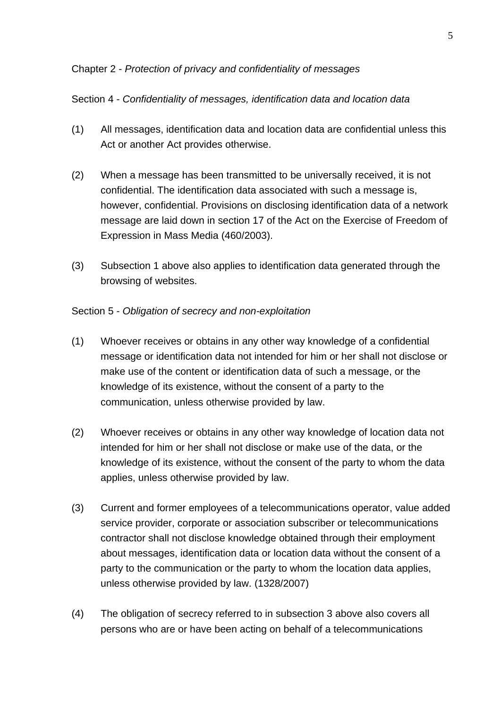#### Chapter 2 - *Protection of privacy and confidentiality of messages*

#### Section 4 - *Confidentiality of messages, identification data and location data*

- (1) All messages, identification data and location data are confidential unless this Act or another Act provides otherwise.
- (2) When a message has been transmitted to be universally received, it is not confidential. The identification data associated with such a message is, however, confidential. Provisions on disclosing identification data of a network message are laid down in section 17 of the Act on the Exercise of Freedom of Expression in Mass Media (460/2003).
- (3) Subsection 1 above also applies to identification data generated through the browsing of websites.

#### Section 5 - *Obligation of secrecy and non-exploitation*

- (1) Whoever receives or obtains in any other way knowledge of a confidential message or identification data not intended for him or her shall not disclose or make use of the content or identification data of such a message, or the knowledge of its existence, without the consent of a party to the communication, unless otherwise provided by law.
- (2) Whoever receives or obtains in any other way knowledge of location data not intended for him or her shall not disclose or make use of the data, or the knowledge of its existence, without the consent of the party to whom the data applies, unless otherwise provided by law.
- (3) Current and former employees of a telecommunications operator, value added service provider, corporate or association subscriber or telecommunications contractor shall not disclose knowledge obtained through their employment about messages, identification data or location data without the consent of a party to the communication or the party to whom the location data applies, unless otherwise provided by law. (1328/2007)
- (4) The obligation of secrecy referred to in subsection 3 above also covers all persons who are or have been acting on behalf of a telecommunications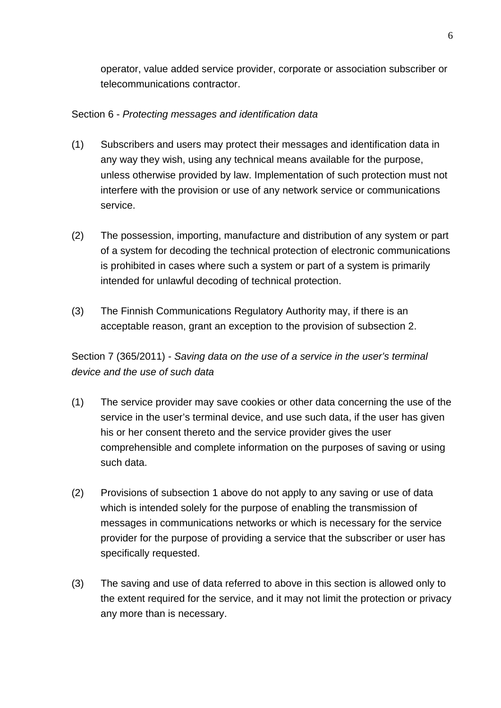operator, value added service provider, corporate or association subscriber or telecommunications contractor.

# Section 6 - *Protecting messages and identification data*

- (1) Subscribers and users may protect their messages and identification data in any way they wish, using any technical means available for the purpose, unless otherwise provided by law. Implementation of such protection must not interfere with the provision or use of any network service or communications service.
- (2) The possession, importing, manufacture and distribution of any system or part of a system for decoding the technical protection of electronic communications is prohibited in cases where such a system or part of a system is primarily intended for unlawful decoding of technical protection.
- (3) The Finnish Communications Regulatory Authority may, if there is an acceptable reason, grant an exception to the provision of subsection 2.

Section 7 (365/2011) - *Saving data on the use of a service in the user's terminal device and the use of such data*

- (1) The service provider may save cookies or other data concerning the use of the service in the user's terminal device, and use such data, if the user has given his or her consent thereto and the service provider gives the user comprehensible and complete information on the purposes of saving or using such data.
- (2) Provisions of subsection 1 above do not apply to any saving or use of data which is intended solely for the purpose of enabling the transmission of messages in communications networks or which is necessary for the service provider for the purpose of providing a service that the subscriber or user has specifically requested.
- (3) The saving and use of data referred to above in this section is allowed only to the extent required for the service, and it may not limit the protection or privacy any more than is necessary.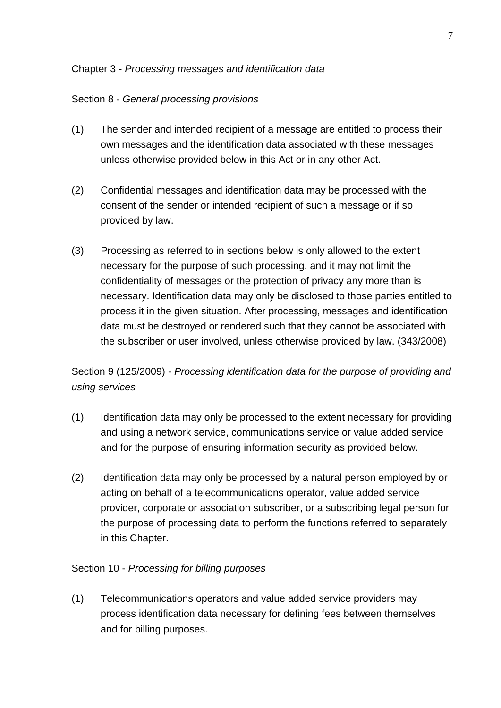#### Chapter 3 - *Processing messages and identification data*

#### Section 8 - *General processing provisions*

- (1) The sender and intended recipient of a message are entitled to process their own messages and the identification data associated with these messages unless otherwise provided below in this Act or in any other Act.
- (2) Confidential messages and identification data may be processed with the consent of the sender or intended recipient of such a message or if so provided by law.
- (3) Processing as referred to in sections below is only allowed to the extent necessary for the purpose of such processing, and it may not limit the confidentiality of messages or the protection of privacy any more than is necessary. Identification data may only be disclosed to those parties entitled to process it in the given situation. After processing, messages and identification data must be destroyed or rendered such that they cannot be associated with the subscriber or user involved, unless otherwise provided by law. (343/2008)

Section 9 (125/2009) - *Processing identification data for the purpose of providing and using services*

- (1) Identification data may only be processed to the extent necessary for providing and using a network service, communications service or value added service and for the purpose of ensuring information security as provided below.
- (2) Identification data may only be processed by a natural person employed by or acting on behalf of a telecommunications operator, value added service provider, corporate or association subscriber, or a subscribing legal person for the purpose of processing data to perform the functions referred to separately in this Chapter.

#### Section 10 - *Processing for billing purposes*

(1) Telecommunications operators and value added service providers may process identification data necessary for defining fees between themselves and for billing purposes.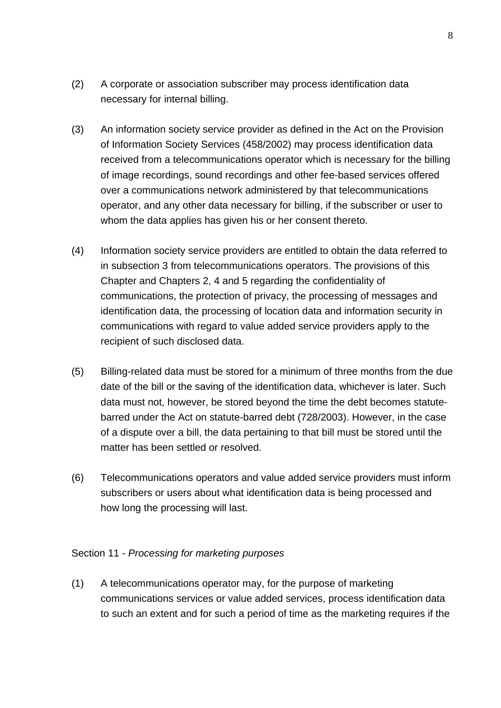- (2) A corporate or association subscriber may process identification data necessary for internal billing.
- (3) An information society service provider as defined in the Act on the Provision of Information Society Services (458/2002) may process identification data received from a telecommunications operator which is necessary for the billing of image recordings, sound recordings and other fee-based services offered over a communications network administered by that telecommunications operator, and any other data necessary for billing, if the subscriber or user to whom the data applies has given his or her consent thereto.
- (4) Information society service providers are entitled to obtain the data referred to in subsection 3 from telecommunications operators. The provisions of this Chapter and Chapters 2, 4 and 5 regarding the confidentiality of communications, the protection of privacy, the processing of messages and identification data, the processing of location data and information security in communications with regard to value added service providers apply to the recipient of such disclosed data.
- (5) Billing-related data must be stored for a minimum of three months from the due date of the bill or the saving of the identification data, whichever is later. Such data must not, however, be stored beyond the time the debt becomes statutebarred under the Act on statute-barred debt (728/2003). However, in the case of a dispute over a bill, the data pertaining to that bill must be stored until the matter has been settled or resolved.
- (6) Telecommunications operators and value added service providers must inform subscribers or users about what identification data is being processed and how long the processing will last.

#### Section 11 - *Processing for marketing purposes*

(1) A telecommunications operator may, for the purpose of marketing communications services or value added services, process identification data to such an extent and for such a period of time as the marketing requires if the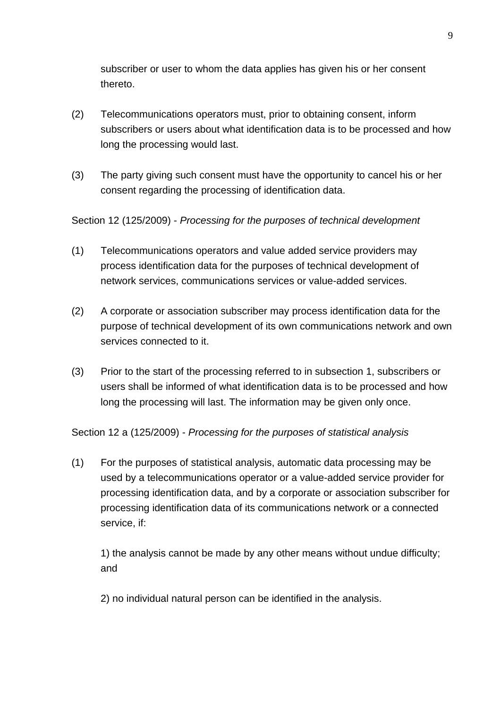subscriber or user to whom the data applies has given his or her consent thereto.

- (2) Telecommunications operators must, prior to obtaining consent, inform subscribers or users about what identification data is to be processed and how long the processing would last.
- (3) The party giving such consent must have the opportunity to cancel his or her consent regarding the processing of identification data.

Section 12 (125/2009) - *Processing for the purposes of technical development*

- (1) Telecommunications operators and value added service providers may process identification data for the purposes of technical development of network services, communications services or value-added services.
- (2) A corporate or association subscriber may process identification data for the purpose of technical development of its own communications network and own services connected to it.
- (3) Prior to the start of the processing referred to in subsection 1, subscribers or users shall be informed of what identification data is to be processed and how long the processing will last. The information may be given only once.

Section 12 a (125/2009) - *Processing for the purposes of statistical analysis*

(1) For the purposes of statistical analysis, automatic data processing may be used by a telecommunications operator or a value-added service provider for processing identification data, and by a corporate or association subscriber for processing identification data of its communications network or a connected service, if:

1) the analysis cannot be made by any other means without undue difficulty; and

2) no individual natural person can be identified in the analysis.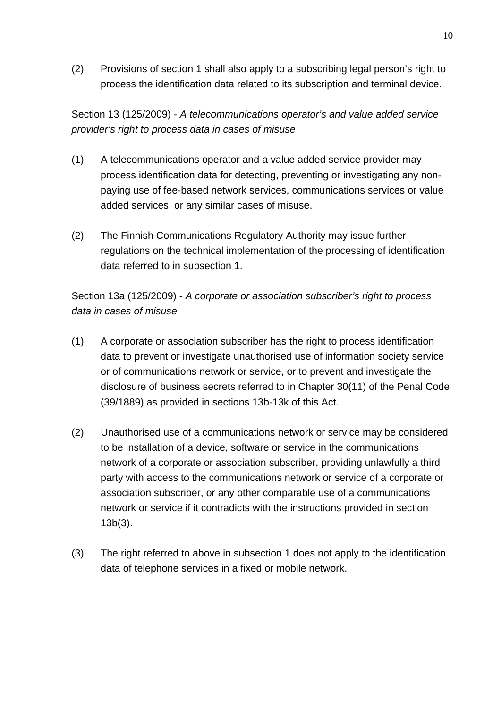(2) Provisions of section 1 shall also apply to a subscribing legal person's right to process the identification data related to its subscription and terminal device.

Section 13 (125/2009) - *A telecommunications operator's and value added service provider's right to process data in cases of misuse* 

- (1) A telecommunications operator and a value added service provider may process identification data for detecting, preventing or investigating any nonpaying use of fee-based network services, communications services or value added services, or any similar cases of misuse.
- (2) The Finnish Communications Regulatory Authority may issue further regulations on the technical implementation of the processing of identification data referred to in subsection 1.

Section 13a (125/2009) - *A corporate or association subscriber's right to process data in cases of misuse*

- (1) A corporate or association subscriber has the right to process identification data to prevent or investigate unauthorised use of information society service or of communications network or service, or to prevent and investigate the disclosure of business secrets referred to in Chapter 30(11) of the Penal Code (39/1889) as provided in sections 13b-13k of this Act.
- (2) Unauthorised use of a communications network or service may be considered to be installation of a device, software or service in the communications network of a corporate or association subscriber, providing unlawfully a third party with access to the communications network or service of a corporate or association subscriber, or any other comparable use of a communications network or service if it contradicts with the instructions provided in section 13b(3).
- (3) The right referred to above in subsection 1 does not apply to the identification data of telephone services in a fixed or mobile network.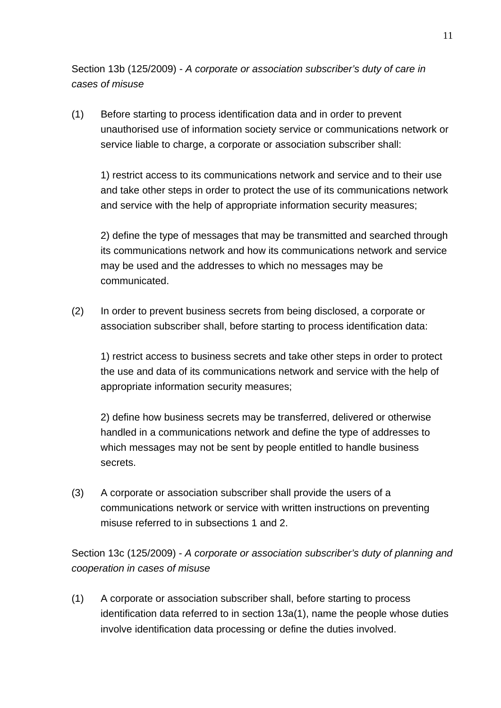Section 13b (125/2009) - *A corporate or association subscriber's duty of care in cases of misuse*

(1) Before starting to process identification data and in order to prevent unauthorised use of information society service or communications network or service liable to charge, a corporate or association subscriber shall:

1) restrict access to its communications network and service and to their use and take other steps in order to protect the use of its communications network and service with the help of appropriate information security measures;

2) define the type of messages that may be transmitted and searched through its communications network and how its communications network and service may be used and the addresses to which no messages may be communicated.

(2) In order to prevent business secrets from being disclosed, a corporate or association subscriber shall, before starting to process identification data:

1) restrict access to business secrets and take other steps in order to protect the use and data of its communications network and service with the help of appropriate information security measures;

2) define how business secrets may be transferred, delivered or otherwise handled in a communications network and define the type of addresses to which messages may not be sent by people entitled to handle business secrets.

(3) A corporate or association subscriber shall provide the users of a communications network or service with written instructions on preventing misuse referred to in subsections 1 and 2.

Section 13c (125/2009) - *A corporate or association subscriber's duty of planning and cooperation in cases of misuse*

(1) A corporate or association subscriber shall, before starting to process identification data referred to in section 13a(1), name the people whose duties involve identification data processing or define the duties involved.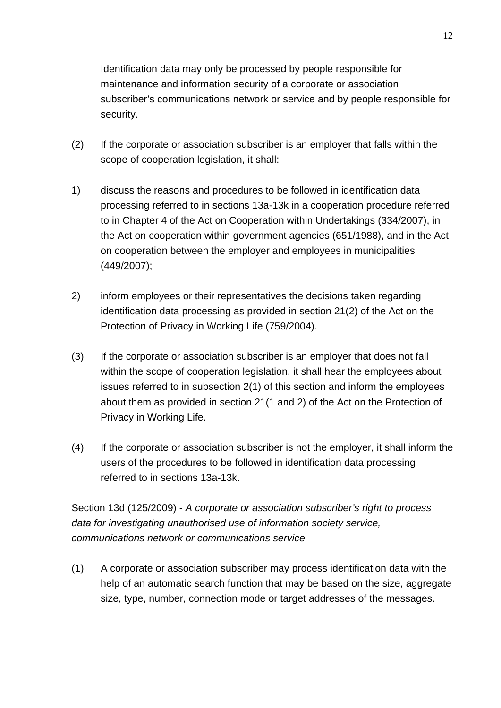Identification data may only be processed by people responsible for maintenance and information security of a corporate or association subscriber's communications network or service and by people responsible for security.

- (2) If the corporate or association subscriber is an employer that falls within the scope of cooperation legislation, it shall:
- 1) discuss the reasons and procedures to be followed in identification data processing referred to in sections 13a-13k in a cooperation procedure referred to in Chapter 4 of the Act on Cooperation within Undertakings (334/2007), in the Act on cooperation within government agencies (651/1988), and in the Act on cooperation between the employer and employees in municipalities (449/2007);
- 2) inform employees or their representatives the decisions taken regarding identification data processing as provided in section 21(2) of the Act on the Protection of Privacy in Working Life (759/2004).
- (3) If the corporate or association subscriber is an employer that does not fall within the scope of cooperation legislation, it shall hear the employees about issues referred to in subsection 2(1) of this section and inform the employees about them as provided in section 21(1 and 2) of the Act on the Protection of Privacy in Working Life.
- (4) If the corporate or association subscriber is not the employer, it shall inform the users of the procedures to be followed in identification data processing referred to in sections 13a-13k.

Section 13d (125/2009) - *A corporate or association subscriber's right to process data for investigating unauthorised use of information society service, communications network or communications service*

(1) A corporate or association subscriber may process identification data with the help of an automatic search function that may be based on the size, aggregate size, type, number, connection mode or target addresses of the messages.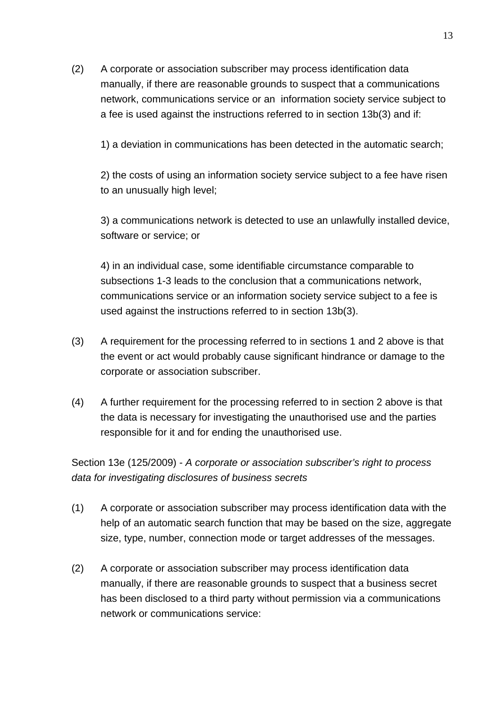(2) A corporate or association subscriber may process identification data manually, if there are reasonable grounds to suspect that a communications network, communications service or an information society service subject to a fee is used against the instructions referred to in section 13b(3) and if:

1) a deviation in communications has been detected in the automatic search;

2) the costs of using an information society service subject to a fee have risen to an unusually high level;

3) a communications network is detected to use an unlawfully installed device, software or service; or

4) in an individual case, some identifiable circumstance comparable to subsections 1-3 leads to the conclusion that a communications network, communications service or an information society service subject to a fee is used against the instructions referred to in section 13b(3).

- (3) A requirement for the processing referred to in sections 1 and 2 above is that the event or act would probably cause significant hindrance or damage to the corporate or association subscriber.
- (4) A further requirement for the processing referred to in section 2 above is that the data is necessary for investigating the unauthorised use and the parties responsible for it and for ending the unauthorised use.

Section 13e (125/2009) - *A corporate or association subscriber's right to process data for investigating disclosures of business secrets*

- (1) A corporate or association subscriber may process identification data with the help of an automatic search function that may be based on the size, aggregate size, type, number, connection mode or target addresses of the messages.
- (2) A corporate or association subscriber may process identification data manually, if there are reasonable grounds to suspect that a business secret has been disclosed to a third party without permission via a communications network or communications service: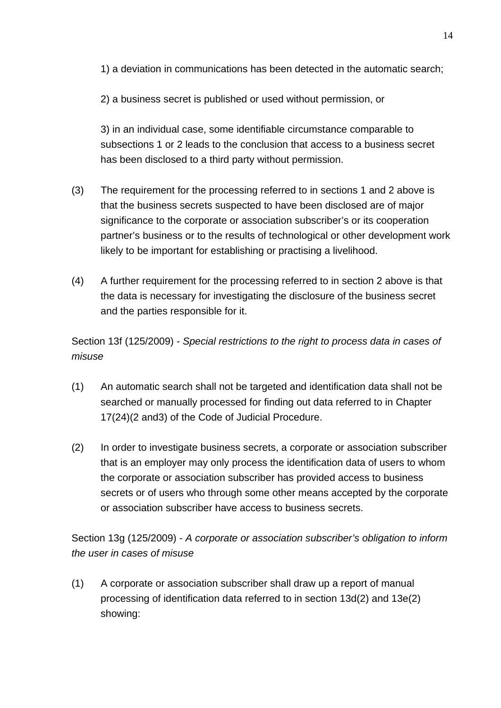1) a deviation in communications has been detected in the automatic search;

2) a business secret is published or used without permission, or

3) in an individual case, some identifiable circumstance comparable to subsections 1 or 2 leads to the conclusion that access to a business secret has been disclosed to a third party without permission.

- (3) The requirement for the processing referred to in sections 1 and 2 above is that the business secrets suspected to have been disclosed are of major significance to the corporate or association subscriber's or its cooperation partner's business or to the results of technological or other development work likely to be important for establishing or practising a livelihood.
- (4) A further requirement for the processing referred to in section 2 above is that the data is necessary for investigating the disclosure of the business secret and the parties responsible for it.

Section 13f (125/2009) - *Special restrictions to the right to process data in cases of misuse* 

- (1) An automatic search shall not be targeted and identification data shall not be searched or manually processed for finding out data referred to in Chapter 17(24)(2 and3) of the Code of Judicial Procedure.
- (2) In order to investigate business secrets, a corporate or association subscriber that is an employer may only process the identification data of users to whom the corporate or association subscriber has provided access to business secrets or of users who through some other means accepted by the corporate or association subscriber have access to business secrets.

Section 13g (125/2009) - *A corporate or association subscriber's obligation to inform the user in cases of misuse*

(1) A corporate or association subscriber shall draw up a report of manual processing of identification data referred to in section 13d(2) and 13e(2) showing: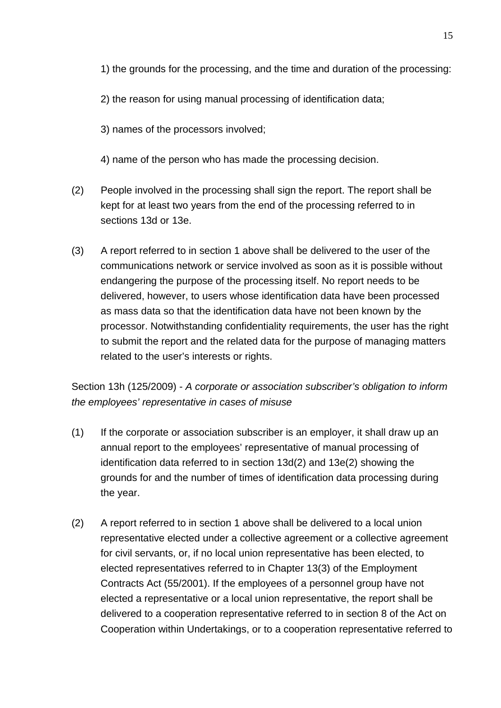- 1) the grounds for the processing, and the time and duration of the processing:
- 2) the reason for using manual processing of identification data;
- 3) names of the processors involved;
- 4) name of the person who has made the processing decision.
- (2) People involved in the processing shall sign the report. The report shall be kept for at least two years from the end of the processing referred to in sections 13d or 13e.
- (3) A report referred to in section 1 above shall be delivered to the user of the communications network or service involved as soon as it is possible without endangering the purpose of the processing itself. No report needs to be delivered, however, to users whose identification data have been processed as mass data so that the identification data have not been known by the processor. Notwithstanding confidentiality requirements, the user has the right to submit the report and the related data for the purpose of managing matters related to the user's interests or rights.

Section 13h (125/2009) - *A corporate or association subscriber's obligation to inform the employees' representative in cases of misuse*

- (1) If the corporate or association subscriber is an employer, it shall draw up an annual report to the employees' representative of manual processing of identification data referred to in section 13d(2) and 13e(2) showing the grounds for and the number of times of identification data processing during the year.
- (2) A report referred to in section 1 above shall be delivered to a local union representative elected under a collective agreement or a collective agreement for civil servants, or, if no local union representative has been elected, to elected representatives referred to in Chapter 13(3) of the Employment Contracts Act (55/2001). If the employees of a personnel group have not elected a representative or a local union representative, the report shall be delivered to a cooperation representative referred to in section 8 of the Act on Cooperation within Undertakings, or to a cooperation representative referred to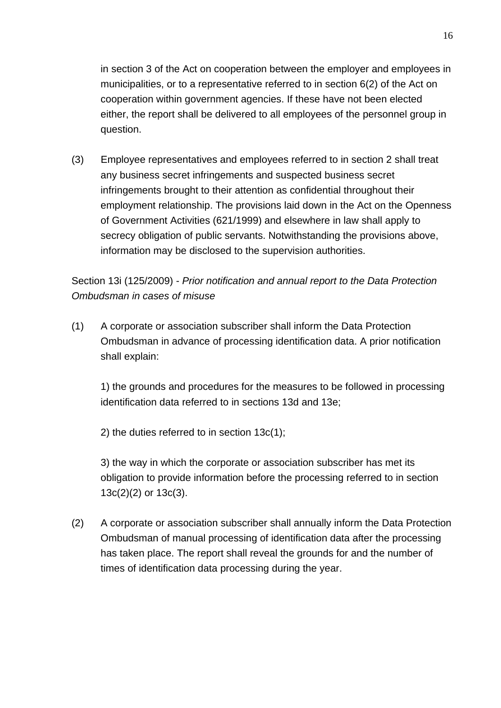in section 3 of the Act on cooperation between the employer and employees in municipalities, or to a representative referred to in section 6(2) of the Act on cooperation within government agencies. If these have not been elected either, the report shall be delivered to all employees of the personnel group in question.

(3) Employee representatives and employees referred to in section 2 shall treat any business secret infringements and suspected business secret infringements brought to their attention as confidential throughout their employment relationship. The provisions laid down in the Act on the Openness of Government Activities (621/1999) and elsewhere in law shall apply to secrecy obligation of public servants. Notwithstanding the provisions above, information may be disclosed to the supervision authorities.

Section 13i (125/2009) - *Prior notification and annual report to the Data Protection Ombudsman in cases of misuse*

(1) A corporate or association subscriber shall inform the Data Protection Ombudsman in advance of processing identification data. A prior notification shall explain:

1) the grounds and procedures for the measures to be followed in processing identification data referred to in sections 13d and 13e;

2) the duties referred to in section 13c(1);

3) the way in which the corporate or association subscriber has met its obligation to provide information before the processing referred to in section 13c(2)(2) or 13c(3).

(2) A corporate or association subscriber shall annually inform the Data Protection Ombudsman of manual processing of identification data after the processing has taken place. The report shall reveal the grounds for and the number of times of identification data processing during the year.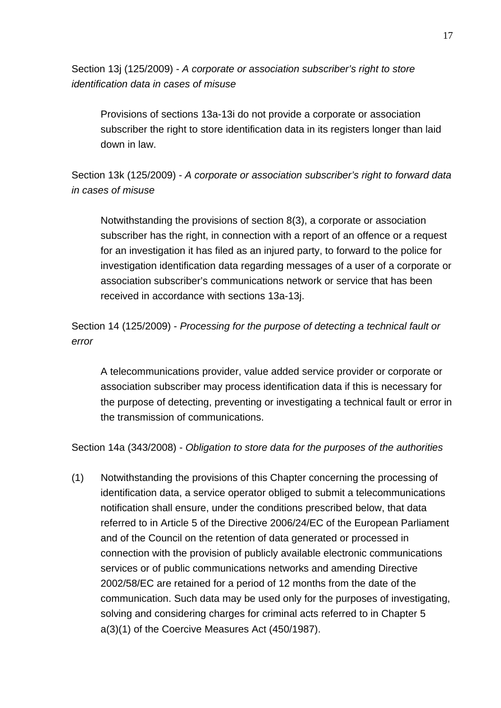Section 13j (125/2009) - *A corporate or association subscriber's right to store identification data in cases of misuse*

Provisions of sections 13a-13i do not provide a corporate or association subscriber the right to store identification data in its registers longer than laid down in law.

Section 13k (125/2009) - *A corporate or association subscriber's right to forward data in cases of misuse*

Notwithstanding the provisions of section 8(3), a corporate or association subscriber has the right, in connection with a report of an offence or a request for an investigation it has filed as an injured party, to forward to the police for investigation identification data regarding messages of a user of a corporate or association subscriber's communications network or service that has been received in accordance with sections 13a-13j.

Section 14 (125/2009) - *Processing for the purpose of detecting a technical fault or error*

A telecommunications provider, value added service provider or corporate or association subscriber may process identification data if this is necessary for the purpose of detecting, preventing or investigating a technical fault or error in the transmission of communications.

Section 14a (343/2008) - *Obligation to store data for the purposes of the authorities* 

(1) Notwithstanding the provisions of this Chapter concerning the processing of identification data, a service operator obliged to submit a telecommunications notification shall ensure, under the conditions prescribed below, that data referred to in Article 5 of the Directive 2006/24/EC of the European Parliament and of the Council on the retention of data generated or processed in connection with the provision of publicly available electronic communications services or of public communications networks and amending Directive 2002/58/EC are retained for a period of 12 months from the date of the communication. Such data may be used only for the purposes of investigating, solving and considering charges for criminal acts referred to in Chapter 5 a(3)(1) of the Coercive Measures Act (450/1987).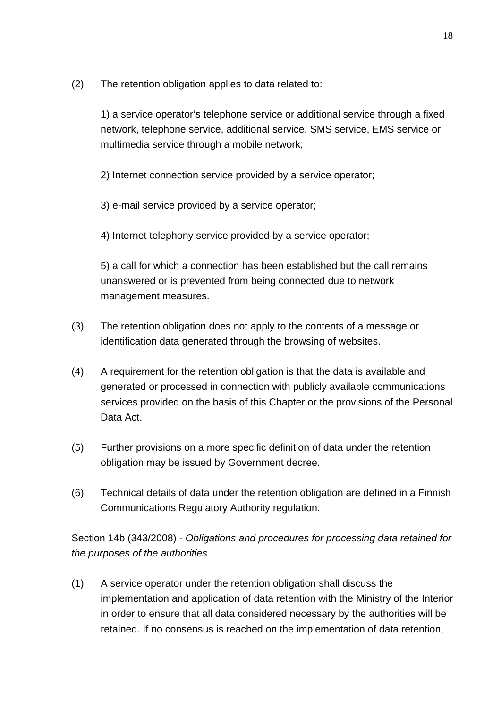(2) The retention obligation applies to data related to:

1) a service operator's telephone service or additional service through a fixed network, telephone service, additional service, SMS service, EMS service or multimedia service through a mobile network;

2) Internet connection service provided by a service operator;

3) e-mail service provided by a service operator;

4) Internet telephony service provided by a service operator;

5) a call for which a connection has been established but the call remains unanswered or is prevented from being connected due to network management measures.

- (3) The retention obligation does not apply to the contents of a message or identification data generated through the browsing of websites.
- (4) A requirement for the retention obligation is that the data is available and generated or processed in connection with publicly available communications services provided on the basis of this Chapter or the provisions of the Personal Data Act.
- (5) Further provisions on a more specific definition of data under the retention obligation may be issued by Government decree.
- (6) Technical details of data under the retention obligation are defined in a Finnish Communications Regulatory Authority regulation.

Section 14b (343/2008) - *Obligations and procedures for processing data retained for the purposes of the authorities*

(1) A service operator under the retention obligation shall discuss the implementation and application of data retention with the Ministry of the Interior in order to ensure that all data considered necessary by the authorities will be retained. If no consensus is reached on the implementation of data retention,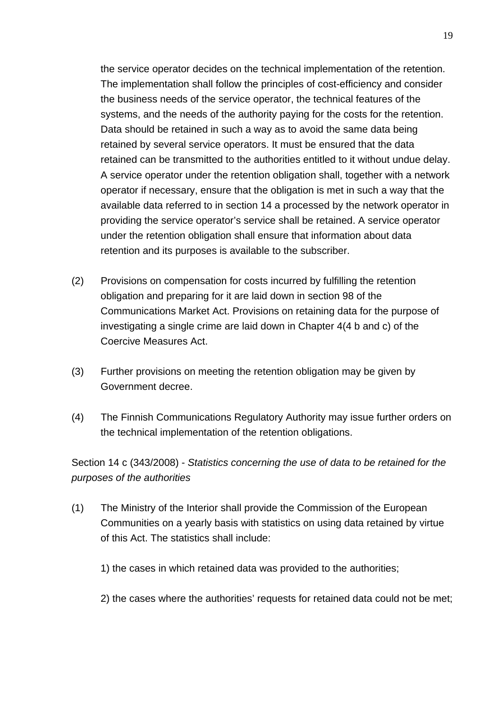the service operator decides on the technical implementation of the retention. The implementation shall follow the principles of cost-efficiency and consider the business needs of the service operator, the technical features of the systems, and the needs of the authority paying for the costs for the retention. Data should be retained in such a way as to avoid the same data being retained by several service operators. It must be ensured that the data retained can be transmitted to the authorities entitled to it without undue delay. A service operator under the retention obligation shall, together with a network operator if necessary, ensure that the obligation is met in such a way that the available data referred to in section 14 a processed by the network operator in providing the service operator's service shall be retained. A service operator under the retention obligation shall ensure that information about data retention and its purposes is available to the subscriber.

- (2) Provisions on compensation for costs incurred by fulfilling the retention obligation and preparing for it are laid down in section 98 of the Communications Market Act. Provisions on retaining data for the purpose of investigating a single crime are laid down in Chapter 4(4 b and c) of the Coercive Measures Act.
- (3) Further provisions on meeting the retention obligation may be given by Government decree.
- (4) The Finnish Communications Regulatory Authority may issue further orders on the technical implementation of the retention obligations.

Section 14 c (343/2008) - *Statistics concerning the use of data to be retained for the purposes of the authorities*

- (1) The Ministry of the Interior shall provide the Commission of the European Communities on a yearly basis with statistics on using data retained by virtue of this Act. The statistics shall include:
	- 1) the cases in which retained data was provided to the authorities;
	- 2) the cases where the authorities' requests for retained data could not be met;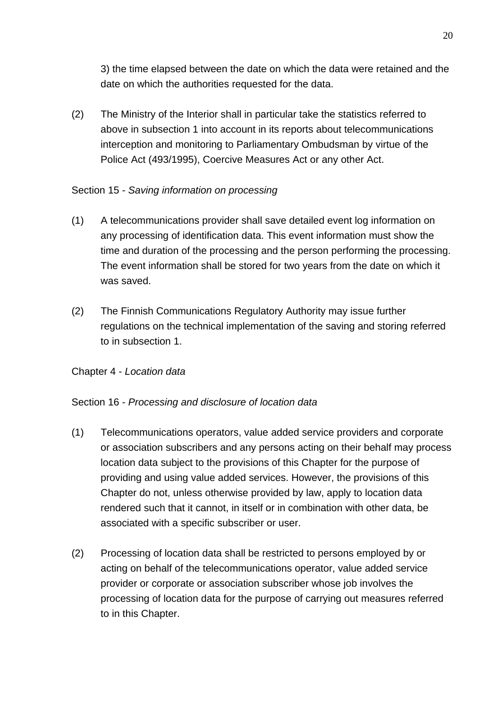3) the time elapsed between the date on which the data were retained and the date on which the authorities requested for the data.

(2) The Ministry of the Interior shall in particular take the statistics referred to above in subsection 1 into account in its reports about telecommunications interception and monitoring to Parliamentary Ombudsman by virtue of the Police Act (493/1995), Coercive Measures Act or any other Act.

# Section 15 - *Saving information on processing*

- (1) A telecommunications provider shall save detailed event log information on any processing of identification data. This event information must show the time and duration of the processing and the person performing the processing. The event information shall be stored for two years from the date on which it was saved.
- (2) The Finnish Communications Regulatory Authority may issue further regulations on the technical implementation of the saving and storing referred to in subsection 1.

## Chapter 4 - *Location data*

## Section 16 - *Processing and disclosure of location data*

- (1) Telecommunications operators, value added service providers and corporate or association subscribers and any persons acting on their behalf may process location data subject to the provisions of this Chapter for the purpose of providing and using value added services. However, the provisions of this Chapter do not, unless otherwise provided by law, apply to location data rendered such that it cannot, in itself or in combination with other data, be associated with a specific subscriber or user.
- (2) Processing of location data shall be restricted to persons employed by or acting on behalf of the telecommunications operator, value added service provider or corporate or association subscriber whose job involves the processing of location data for the purpose of carrying out measures referred to in this Chapter.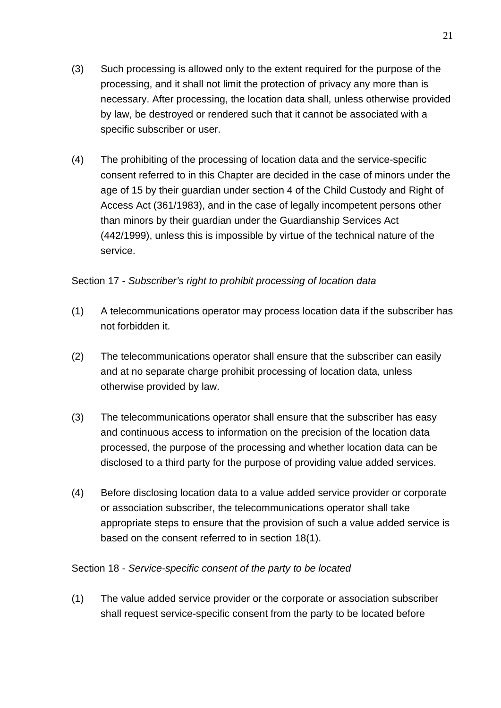- (3) Such processing is allowed only to the extent required for the purpose of the processing, and it shall not limit the protection of privacy any more than is necessary. After processing, the location data shall, unless otherwise provided by law, be destroyed or rendered such that it cannot be associated with a specific subscriber or user.
- (4) The prohibiting of the processing of location data and the service-specific consent referred to in this Chapter are decided in the case of minors under the age of 15 by their guardian under section 4 of the Child Custody and Right of Access Act (361/1983), and in the case of legally incompetent persons other than minors by their guardian under the Guardianship Services Act (442/1999), unless this is impossible by virtue of the technical nature of the service.

## Section 17 - *Subscriber's right to prohibit processing of location data*

- (1) A telecommunications operator may process location data if the subscriber has not forbidden it.
- (2) The telecommunications operator shall ensure that the subscriber can easily and at no separate charge prohibit processing of location data, unless otherwise provided by law.
- (3) The telecommunications operator shall ensure that the subscriber has easy and continuous access to information on the precision of the location data processed, the purpose of the processing and whether location data can be disclosed to a third party for the purpose of providing value added services.
- (4) Before disclosing location data to a value added service provider or corporate or association subscriber, the telecommunications operator shall take appropriate steps to ensure that the provision of such a value added service is based on the consent referred to in section 18(1).

#### Section 18 - *Service-specific consent of the party to be located*

(1) The value added service provider or the corporate or association subscriber shall request service-specific consent from the party to be located before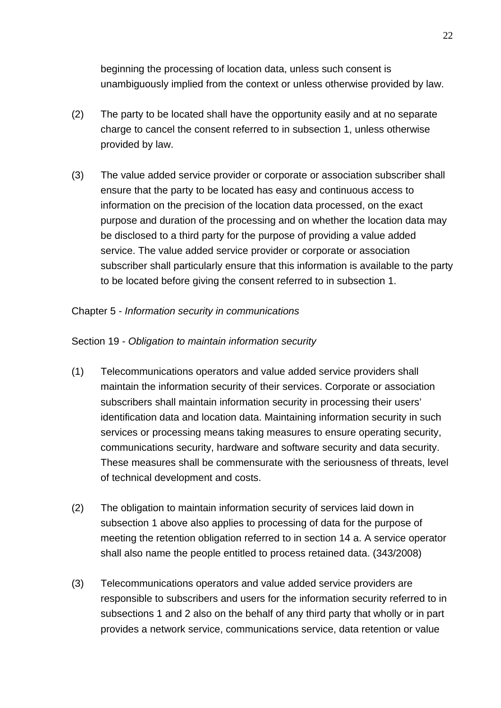beginning the processing of location data, unless such consent is unambiguously implied from the context or unless otherwise provided by law.

- (2) The party to be located shall have the opportunity easily and at no separate charge to cancel the consent referred to in subsection 1, unless otherwise provided by law.
- (3) The value added service provider or corporate or association subscriber shall ensure that the party to be located has easy and continuous access to information on the precision of the location data processed, on the exact purpose and duration of the processing and on whether the location data may be disclosed to a third party for the purpose of providing a value added service. The value added service provider or corporate or association subscriber shall particularly ensure that this information is available to the party to be located before giving the consent referred to in subsection 1.

## Chapter 5 - *Information security in communications*

## Section 19 - *Obligation to maintain information security*

- (1) Telecommunications operators and value added service providers shall maintain the information security of their services. Corporate or association subscribers shall maintain information security in processing their users' identification data and location data. Maintaining information security in such services or processing means taking measures to ensure operating security, communications security, hardware and software security and data security. These measures shall be commensurate with the seriousness of threats, level of technical development and costs.
- (2) The obligation to maintain information security of services laid down in subsection 1 above also applies to processing of data for the purpose of meeting the retention obligation referred to in section 14 a. A service operator shall also name the people entitled to process retained data. (343/2008)
- (3) Telecommunications operators and value added service providers are responsible to subscribers and users for the information security referred to in subsections 1 and 2 also on the behalf of any third party that wholly or in part provides a network service, communications service, data retention or value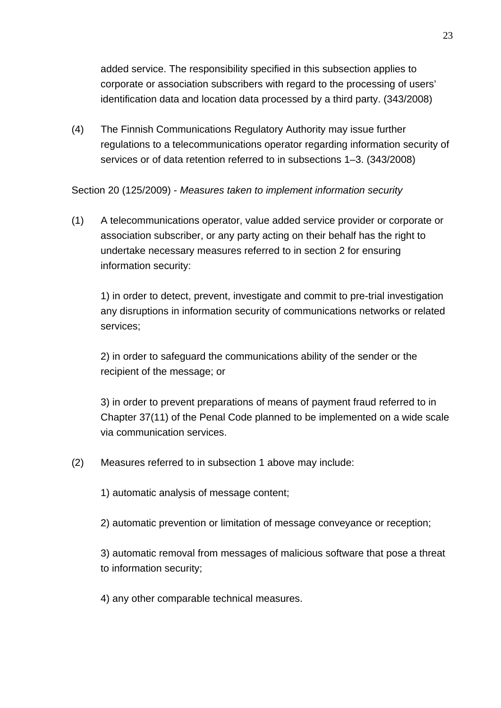added service. The responsibility specified in this subsection applies to corporate or association subscribers with regard to the processing of users' identification data and location data processed by a third party. (343/2008)

(4) The Finnish Communications Regulatory Authority may issue further regulations to a telecommunications operator regarding information security of services or of data retention referred to in subsections 1–3. (343/2008)

Section 20 (125/2009) - *Measures taken to implement information security*

(1) A telecommunications operator, value added service provider or corporate or association subscriber, or any party acting on their behalf has the right to undertake necessary measures referred to in section 2 for ensuring information security:

1) in order to detect, prevent, investigate and commit to pre-trial investigation any disruptions in information security of communications networks or related services;

2) in order to safeguard the communications ability of the sender or the recipient of the message; or

3) in order to prevent preparations of means of payment fraud referred to in Chapter 37(11) of the Penal Code planned to be implemented on a wide scale via communication services.

- (2) Measures referred to in subsection 1 above may include:
	- 1) automatic analysis of message content;
	- 2) automatic prevention or limitation of message conveyance or reception;

3) automatic removal from messages of malicious software that pose a threat to information security;

4) any other comparable technical measures.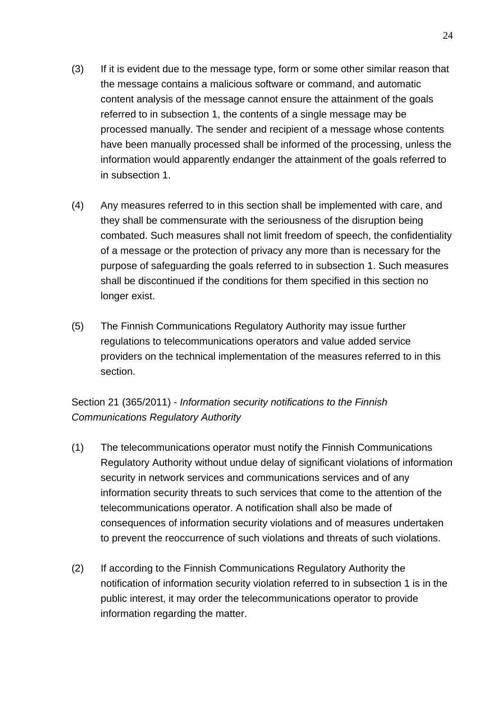- (3) If it is evident due to the message type, form or some other similar reason that the message contains a malicious software or command, and automatic content analysis of the message cannot ensure the attainment of the goals referred to in subsection 1, the contents of a single message may be processed manually. The sender and recipient of a message whose contents have been manually processed shall be informed of the processing, unless the information would apparently endanger the attainment of the goals referred to in subsection 1.
- (4) Any measures referred to in this section shall be implemented with care, and they shall be commensurate with the seriousness of the disruption being combated. Such measures shall not limit freedom of speech, the confidentiality of a message or the protection of privacy any more than is necessary for the purpose of safeguarding the goals referred to in subsection 1. Such measures shall be discontinued if the conditions for them specified in this section no longer exist.
- (5) The Finnish Communications Regulatory Authority may issue further regulations to telecommunications operators and value added service providers on the technical implementation of the measures referred to in this section.

# Section 21 (365/2011) - *Information security notifications to the Finnish Communications Regulatory Authority*

- (1) The telecommunications operator must notify the Finnish Communications Regulatory Authority without undue delay of significant violations of information security in network services and communications services and of any information security threats to such services that come to the attention of the telecommunications operator. A notification shall also be made of consequences of information security violations and of measures undertaken to prevent the reoccurrence of such violations and threats of such violations.
- (2) If according to the Finnish Communications Regulatory Authority the notification of information security violation referred to in subsection 1 is in the public interest, it may order the telecommunications operator to provide information regarding the matter.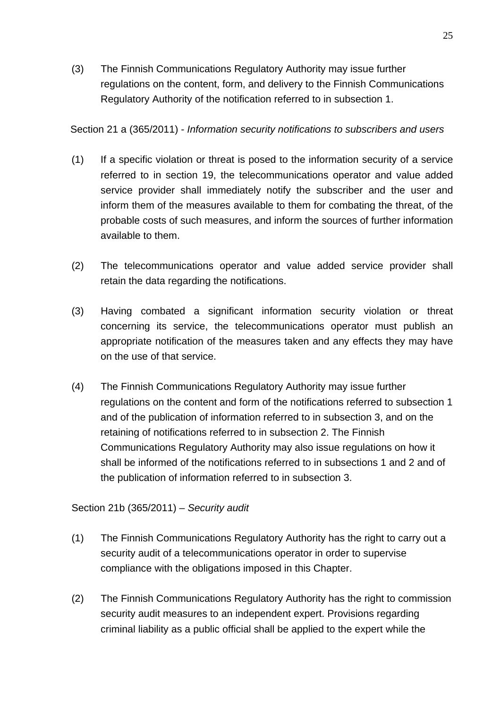(3) The Finnish Communications Regulatory Authority may issue further regulations on the content, form, and delivery to the Finnish Communications Regulatory Authority of the notification referred to in subsection 1.

Section 21 a (365/2011) - *Information security notifications to subscribers and users*

- (1) If a specific violation or threat is posed to the information security of a service referred to in section 19, the telecommunications operator and value added service provider shall immediately notify the subscriber and the user and inform them of the measures available to them for combating the threat, of the probable costs of such measures, and inform the sources of further information available to them.
- (2) The telecommunications operator and value added service provider shall retain the data regarding the notifications.
- (3) Having combated a significant information security violation or threat concerning its service, the telecommunications operator must publish an appropriate notification of the measures taken and any effects they may have on the use of that service.
- (4) The Finnish Communications Regulatory Authority may issue further regulations on the content and form of the notifications referred to subsection 1 and of the publication of information referred to in subsection 3, and on the retaining of notifications referred to in subsection 2. The Finnish Communications Regulatory Authority may also issue regulations on how it shall be informed of the notifications referred to in subsections 1 and 2 and of the publication of information referred to in subsection 3.

Section 21b (365/2011) – *Security audit*

- (1) The Finnish Communications Regulatory Authority has the right to carry out a security audit of a telecommunications operator in order to supervise compliance with the obligations imposed in this Chapter.
- (2) The Finnish Communications Regulatory Authority has the right to commission security audit measures to an independent expert. Provisions regarding criminal liability as a public official shall be applied to the expert while the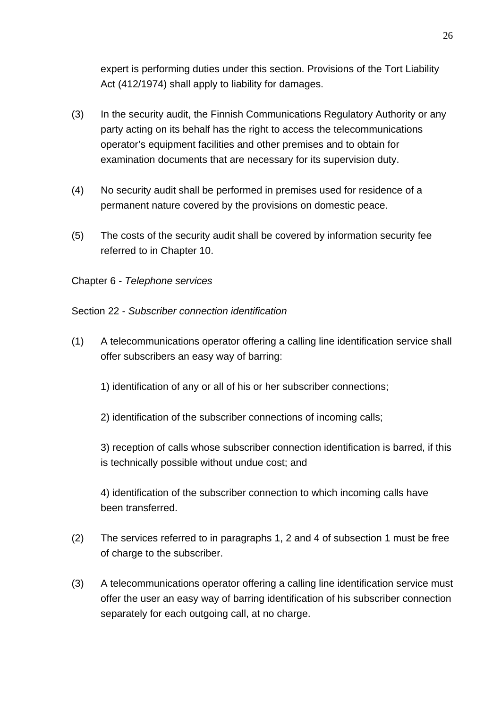expert is performing duties under this section. Provisions of the Tort Liability Act (412/1974) shall apply to liability for damages.

- (3) In the security audit, the Finnish Communications Regulatory Authority or any party acting on its behalf has the right to access the telecommunications operator's equipment facilities and other premises and to obtain for examination documents that are necessary for its supervision duty.
- (4) No security audit shall be performed in premises used for residence of a permanent nature covered by the provisions on domestic peace.
- (5) The costs of the security audit shall be covered by information security fee referred to in Chapter 10.
- Chapter 6 *Telephone services*

Section 22 - *Subscriber connection identification*

- (1) A telecommunications operator offering a calling line identification service shall offer subscribers an easy way of barring:
	- 1) identification of any or all of his or her subscriber connections;
	- 2) identification of the subscriber connections of incoming calls;

3) reception of calls whose subscriber connection identification is barred, if this is technically possible without undue cost; and

4) identification of the subscriber connection to which incoming calls have been transferred.

- (2) The services referred to in paragraphs 1, 2 and 4 of subsection 1 must be free of charge to the subscriber.
- (3) A telecommunications operator offering a calling line identification service must offer the user an easy way of barring identification of his subscriber connection separately for each outgoing call, at no charge.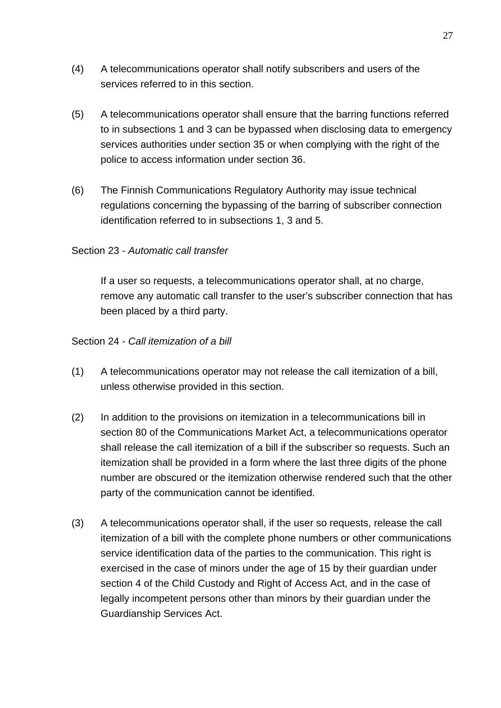- (4) A telecommunications operator shall notify subscribers and users of the services referred to in this section.
- (5) A telecommunications operator shall ensure that the barring functions referred to in subsections 1 and 3 can be bypassed when disclosing data to emergency services authorities under section 35 or when complying with the right of the police to access information under section 36.
- (6) The Finnish Communications Regulatory Authority may issue technical regulations concerning the bypassing of the barring of subscriber connection identification referred to in subsections 1, 3 and 5.

## Section 23 - *Automatic call transfer*

If a user so requests, a telecommunications operator shall, at no charge, remove any automatic call transfer to the user's subscriber connection that has been placed by a third party.

## Section 24 - *Call itemization of a bill*

- (1) A telecommunications operator may not release the call itemization of a bill, unless otherwise provided in this section.
- (2) In addition to the provisions on itemization in a telecommunications bill in section 80 of the Communications Market Act, a telecommunications operator shall release the call itemization of a bill if the subscriber so requests. Such an itemization shall be provided in a form where the last three digits of the phone number are obscured or the itemization otherwise rendered such that the other party of the communication cannot be identified.
- (3) A telecommunications operator shall, if the user so requests, release the call itemization of a bill with the complete phone numbers or other communications service identification data of the parties to the communication. This right is exercised in the case of minors under the age of 15 by their guardian under section 4 of the Child Custody and Right of Access Act, and in the case of legally incompetent persons other than minors by their guardian under the Guardianship Services Act.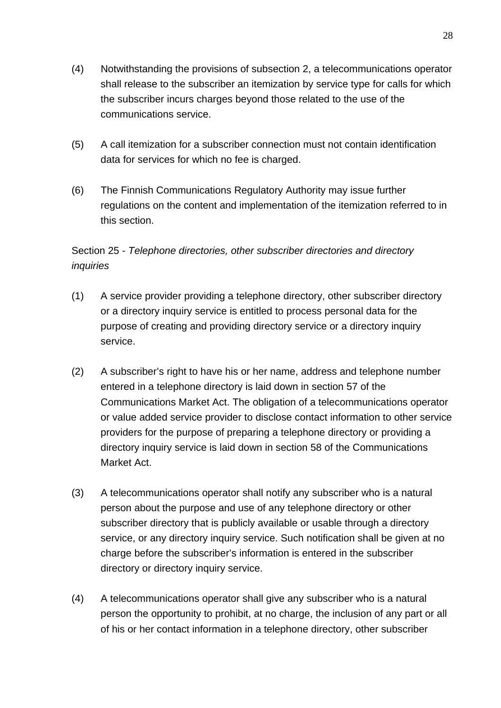- (4) Notwithstanding the provisions of subsection 2, a telecommunications operator shall release to the subscriber an itemization by service type for calls for which the subscriber incurs charges beyond those related to the use of the communications service.
- (5) A call itemization for a subscriber connection must not contain identification data for services for which no fee is charged.
- (6) The Finnish Communications Regulatory Authority may issue further regulations on the content and implementation of the itemization referred to in this section.

# Section 25 - *Telephone directories, other subscriber directories and directory inquiries*

- (1) A service provider providing a telephone directory, other subscriber directory or a directory inquiry service is entitled to process personal data for the purpose of creating and providing directory service or a directory inquiry service.
- (2) A subscriber's right to have his or her name, address and telephone number entered in a telephone directory is laid down in section 57 of the Communications Market Act. The obligation of a telecommunications operator or value added service provider to disclose contact information to other service providers for the purpose of preparing a telephone directory or providing a directory inquiry service is laid down in section 58 of the Communications Market Act.
- (3) A telecommunications operator shall notify any subscriber who is a natural person about the purpose and use of any telephone directory or other subscriber directory that is publicly available or usable through a directory service, or any directory inquiry service. Such notification shall be given at no charge before the subscriber's information is entered in the subscriber directory or directory inquiry service.
- (4) A telecommunications operator shall give any subscriber who is a natural person the opportunity to prohibit, at no charge, the inclusion of any part or all of his or her contact information in a telephone directory, other subscriber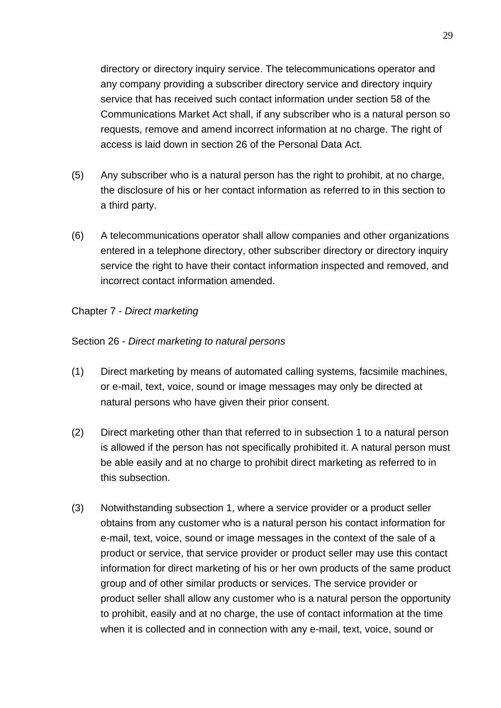directory or directory inquiry service. The telecommunications operator and any company providing a subscriber directory service and directory inquiry service that has received such contact information under section 58 of the Communications Market Act shall, if any subscriber who is a natural person so requests, remove and amend incorrect information at no charge. The right of access is laid down in section 26 of the Personal Data Act.

- (5) Any subscriber who is a natural person has the right to prohibit, at no charge, the disclosure of his or her contact information as referred to in this section to a third party.
- (6) A telecommunications operator shall allow companies and other organizations entered in a telephone directory, other subscriber directory or directory inquiry service the right to have their contact information inspected and removed, and incorrect contact information amended.

Chapter 7 - *Direct marketing*

Section 26 - *Direct marketing to natural persons*

- (1) Direct marketing by means of automated calling systems, facsimile machines, or e-mail, text, voice, sound or image messages may only be directed at natural persons who have given their prior consent.
- (2) Direct marketing other than that referred to in subsection 1 to a natural person is allowed if the person has not specifically prohibited it. A natural person must be able easily and at no charge to prohibit direct marketing as referred to in this subsection.
- (3) Notwithstanding subsection 1, where a service provider or a product seller obtains from any customer who is a natural person his contact information for e-mail, text, voice, sound or image messages in the context of the sale of a product or service, that service provider or product seller may use this contact information for direct marketing of his or her own products of the same product group and of other similar products or services. The service provider or product seller shall allow any customer who is a natural person the opportunity to prohibit, easily and at no charge, the use of contact information at the time when it is collected and in connection with any e-mail, text, voice, sound or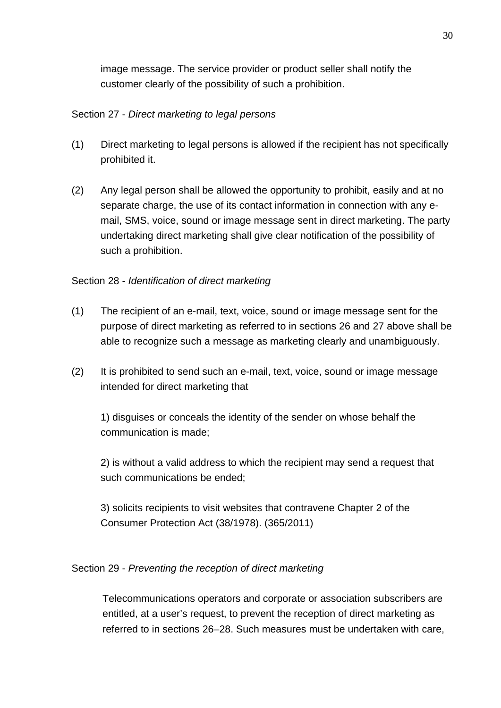image message. The service provider or product seller shall notify the customer clearly of the possibility of such a prohibition.

# Section 27 - *Direct marketing to legal persons*

- (1) Direct marketing to legal persons is allowed if the recipient has not specifically prohibited it.
- (2) Any legal person shall be allowed the opportunity to prohibit, easily and at no separate charge, the use of its contact information in connection with any email, SMS, voice, sound or image message sent in direct marketing. The party undertaking direct marketing shall give clear notification of the possibility of such a prohibition.

# Section 28 - *Identification of direct marketing*

- (1) The recipient of an e-mail, text, voice, sound or image message sent for the purpose of direct marketing as referred to in sections 26 and 27 above shall be able to recognize such a message as marketing clearly and unambiguously.
- (2) It is prohibited to send such an e-mail, text, voice, sound or image message intended for direct marketing that

1) disguises or conceals the identity of the sender on whose behalf the communication is made;

2) is without a valid address to which the recipient may send a request that such communications be ended;

3) solicits recipients to visit websites that contravene Chapter 2 of the Consumer Protection Act (38/1978). (365/2011)

## Section 29 - *Preventing the reception of direct marketing*

Telecommunications operators and corporate or association subscribers are entitled, at a user's request, to prevent the reception of direct marketing as referred to in sections 26–28. Such measures must be undertaken with care,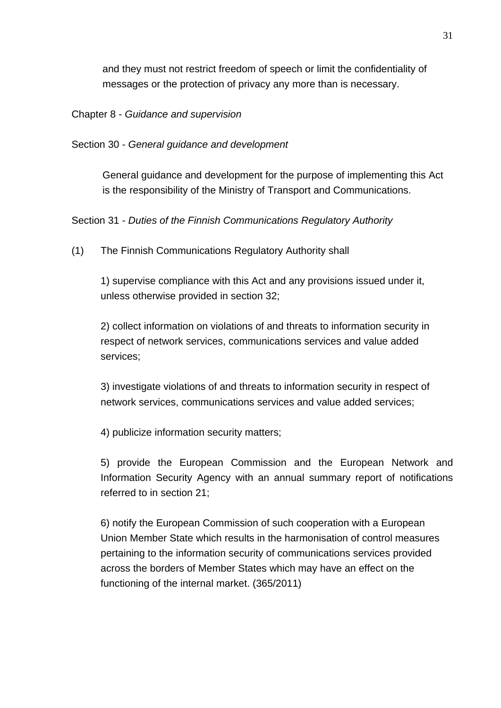and they must not restrict freedom of speech or limit the confidentiality of messages or the protection of privacy any more than is necessary.

Chapter 8 - *Guidance and supervision*

Section 30 - *General guidance and development*

General guidance and development for the purpose of implementing this Act is the responsibility of the Ministry of Transport and Communications.

Section 31 - *Duties of the Finnish Communications Regulatory Authority*

(1) The Finnish Communications Regulatory Authority shall

1) supervise compliance with this Act and any provisions issued under it, unless otherwise provided in section 32;

2) collect information on violations of and threats to information security in respect of network services, communications services and value added services;

3) investigate violations of and threats to information security in respect of network services, communications services and value added services;

4) publicize information security matters;

5) provide the European Commission and the European Network and Information Security Agency with an annual summary report of notifications referred to in section 21;

6) notify the European Commission of such cooperation with a European Union Member State which results in the harmonisation of control measures pertaining to the information security of communications services provided across the borders of Member States which may have an effect on the functioning of the internal market. (365/2011)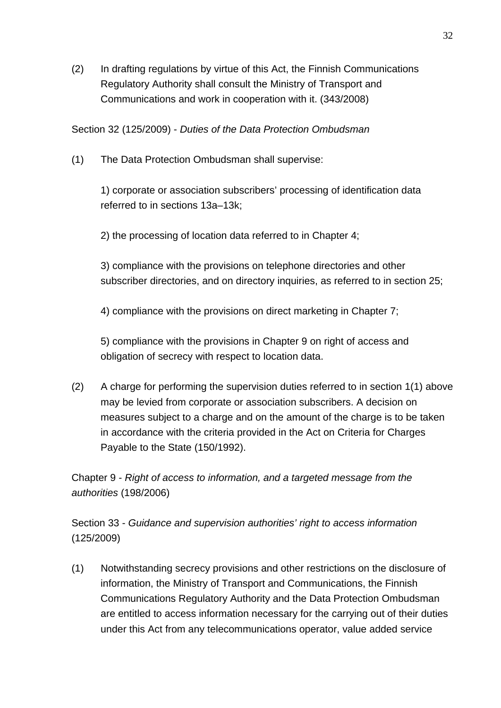(2) In drafting regulations by virtue of this Act, the Finnish Communications Regulatory Authority shall consult the Ministry of Transport and Communications and work in cooperation with it. (343/2008)

Section 32 (125/2009) - *Duties of the Data Protection Ombudsman*

(1) The Data Protection Ombudsman shall supervise:

1) corporate or association subscribers' processing of identification data referred to in sections 13a–13k;

2) the processing of location data referred to in Chapter 4;

3) compliance with the provisions on telephone directories and other subscriber directories, and on directory inquiries, as referred to in section 25;

4) compliance with the provisions on direct marketing in Chapter 7;

5) compliance with the provisions in Chapter 9 on right of access and obligation of secrecy with respect to location data.

(2) A charge for performing the supervision duties referred to in section 1(1) above may be levied from corporate or association subscribers. A decision on measures subject to a charge and on the amount of the charge is to be taken in accordance with the criteria provided in the Act on Criteria for Charges Payable to the State (150/1992).

Chapter 9 - *Right of access to information, and a targeted message from the authorities* (198/2006)

Section 33 - *Guidance and supervision authorities' right to access information* (125/2009)

(1) Notwithstanding secrecy provisions and other restrictions on the disclosure of information, the Ministry of Transport and Communications, the Finnish Communications Regulatory Authority and the Data Protection Ombudsman are entitled to access information necessary for the carrying out of their duties under this Act from any telecommunications operator, value added service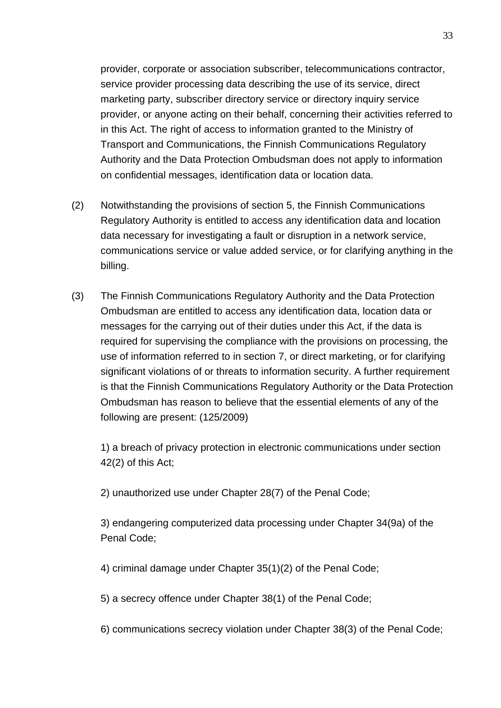provider, corporate or association subscriber, telecommunications contractor, service provider processing data describing the use of its service, direct marketing party, subscriber directory service or directory inquiry service provider, or anyone acting on their behalf, concerning their activities referred to in this Act. The right of access to information granted to the Ministry of Transport and Communications, the Finnish Communications Regulatory Authority and the Data Protection Ombudsman does not apply to information on confidential messages, identification data or location data.

- (2) Notwithstanding the provisions of section 5, the Finnish Communications Regulatory Authority is entitled to access any identification data and location data necessary for investigating a fault or disruption in a network service, communications service or value added service, or for clarifying anything in the billing.
- (3) The Finnish Communications Regulatory Authority and the Data Protection Ombudsman are entitled to access any identification data, location data or messages for the carrying out of their duties under this Act, if the data is required for supervising the compliance with the provisions on processing, the use of information referred to in section 7, or direct marketing, or for clarifying significant violations of or threats to information security. A further requirement is that the Finnish Communications Regulatory Authority or the Data Protection Ombudsman has reason to believe that the essential elements of any of the following are present: (125/2009)

1) a breach of privacy protection in electronic communications under section 42(2) of this Act;

2) unauthorized use under Chapter 28(7) of the Penal Code;

3) endangering computerized data processing under Chapter 34(9a) of the Penal Code;

4) criminal damage under Chapter 35(1)(2) of the Penal Code;

5) a secrecy offence under Chapter 38(1) of the Penal Code;

6) communications secrecy violation under Chapter 38(3) of the Penal Code;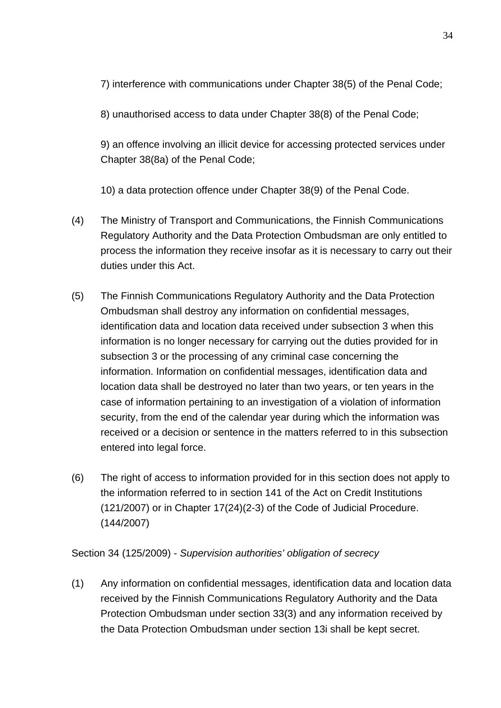7) interference with communications under Chapter 38(5) of the Penal Code;

8) unauthorised access to data under Chapter 38(8) of the Penal Code;

9) an offence involving an illicit device for accessing protected services under Chapter 38(8a) of the Penal Code;

10) a data protection offence under Chapter 38(9) of the Penal Code.

- (4) The Ministry of Transport and Communications, the Finnish Communications Regulatory Authority and the Data Protection Ombudsman are only entitled to process the information they receive insofar as it is necessary to carry out their duties under this Act.
- (5) The Finnish Communications Regulatory Authority and the Data Protection Ombudsman shall destroy any information on confidential messages, identification data and location data received under subsection 3 when this information is no longer necessary for carrying out the duties provided for in subsection 3 or the processing of any criminal case concerning the information. Information on confidential messages, identification data and location data shall be destroyed no later than two years, or ten years in the case of information pertaining to an investigation of a violation of information security, from the end of the calendar year during which the information was received or a decision or sentence in the matters referred to in this subsection entered into legal force.
- (6) The right of access to information provided for in this section does not apply to the information referred to in section 141 of the Act on Credit Institutions (121/2007) or in Chapter 17(24)(2-3) of the Code of Judicial Procedure. (144/2007)

Section 34 (125/2009) - *Supervision authorities' obligation of secrecy*

(1) Any information on confidential messages, identification data and location data received by the Finnish Communications Regulatory Authority and the Data Protection Ombudsman under section 33(3) and any information received by the Data Protection Ombudsman under section 13i shall be kept secret.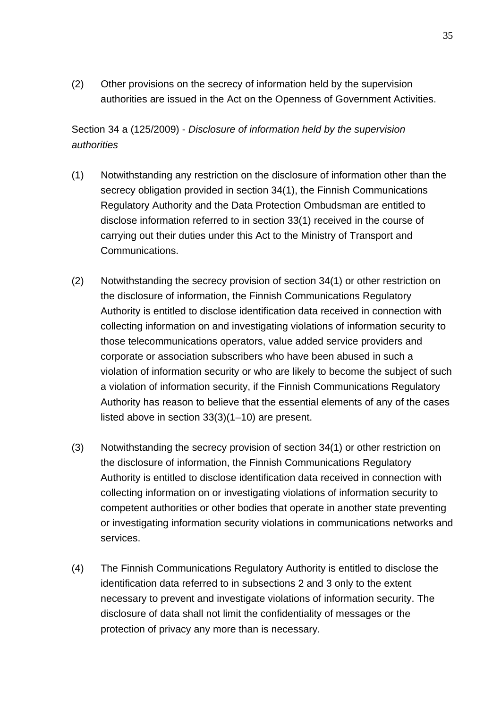(2) Other provisions on the secrecy of information held by the supervision authorities are issued in the Act on the Openness of Government Activities.

Section 34 a (125/2009) - *Disclosure of information held by the supervision authorities*

- (1) Notwithstanding any restriction on the disclosure of information other than the secrecy obligation provided in section 34(1), the Finnish Communications Regulatory Authority and the Data Protection Ombudsman are entitled to disclose information referred to in section 33(1) received in the course of carrying out their duties under this Act to the Ministry of Transport and Communications.
- (2) Notwithstanding the secrecy provision of section 34(1) or other restriction on the disclosure of information, the Finnish Communications Regulatory Authority is entitled to disclose identification data received in connection with collecting information on and investigating violations of information security to those telecommunications operators, value added service providers and corporate or association subscribers who have been abused in such a violation of information security or who are likely to become the subject of such a violation of information security, if the Finnish Communications Regulatory Authority has reason to believe that the essential elements of any of the cases listed above in section 33(3)(1–10) are present.
- (3) Notwithstanding the secrecy provision of section 34(1) or other restriction on the disclosure of information, the Finnish Communications Regulatory Authority is entitled to disclose identification data received in connection with collecting information on or investigating violations of information security to competent authorities or other bodies that operate in another state preventing or investigating information security violations in communications networks and services.
- (4) The Finnish Communications Regulatory Authority is entitled to disclose the identification data referred to in subsections 2 and 3 only to the extent necessary to prevent and investigate violations of information security. The disclosure of data shall not limit the confidentiality of messages or the protection of privacy any more than is necessary.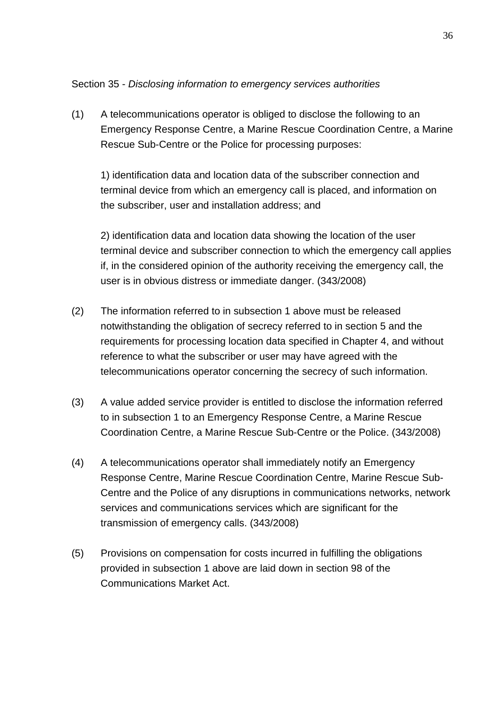#### Section 35 - *Disclosing information to emergency services authorities*

(1) A telecommunications operator is obliged to disclose the following to an Emergency Response Centre, a Marine Rescue Coordination Centre, a Marine Rescue Sub-Centre or the Police for processing purposes:

1) identification data and location data of the subscriber connection and terminal device from which an emergency call is placed, and information on the subscriber, user and installation address; and

2) identification data and location data showing the location of the user terminal device and subscriber connection to which the emergency call applies if, in the considered opinion of the authority receiving the emergency call, the user is in obvious distress or immediate danger. (343/2008)

- (2) The information referred to in subsection 1 above must be released notwithstanding the obligation of secrecy referred to in section 5 and the requirements for processing location data specified in Chapter 4, and without reference to what the subscriber or user may have agreed with the telecommunications operator concerning the secrecy of such information.
- (3) A value added service provider is entitled to disclose the information referred to in subsection 1 to an Emergency Response Centre, a Marine Rescue Coordination Centre, a Marine Rescue Sub-Centre or the Police. (343/2008)
- (4) A telecommunications operator shall immediately notify an Emergency Response Centre, Marine Rescue Coordination Centre, Marine Rescue Sub-Centre and the Police of any disruptions in communications networks, network services and communications services which are significant for the transmission of emergency calls. (343/2008)
- (5) Provisions on compensation for costs incurred in fulfilling the obligations provided in subsection 1 above are laid down in section 98 of the Communications Market Act.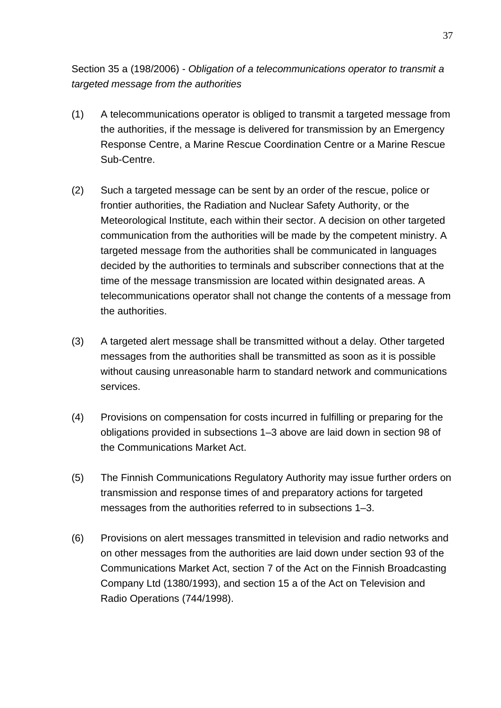Section 35 a (198/2006) - *Obligation of a telecommunications operator to transmit a targeted message from the authorities*

- (1) A telecommunications operator is obliged to transmit a targeted message from the authorities, if the message is delivered for transmission by an Emergency Response Centre, a Marine Rescue Coordination Centre or a Marine Rescue Sub-Centre.
- (2) Such a targeted message can be sent by an order of the rescue, police or frontier authorities, the Radiation and Nuclear Safety Authority, or the Meteorological Institute, each within their sector. A decision on other targeted communication from the authorities will be made by the competent ministry. A targeted message from the authorities shall be communicated in languages decided by the authorities to terminals and subscriber connections that at the time of the message transmission are located within designated areas. A telecommunications operator shall not change the contents of a message from the authorities.
- (3) A targeted alert message shall be transmitted without a delay. Other targeted messages from the authorities shall be transmitted as soon as it is possible without causing unreasonable harm to standard network and communications services.
- (4) Provisions on compensation for costs incurred in fulfilling or preparing for the obligations provided in subsections 1–3 above are laid down in section 98 of the Communications Market Act.
- (5) The Finnish Communications Regulatory Authority may issue further orders on transmission and response times of and preparatory actions for targeted messages from the authorities referred to in subsections 1–3.
- (6) Provisions on alert messages transmitted in television and radio networks and on other messages from the authorities are laid down under section 93 of the Communications Market Act, section 7 of the Act on the Finnish Broadcasting Company Ltd (1380/1993), and section 15 a of the Act on Television and Radio Operations (744/1998).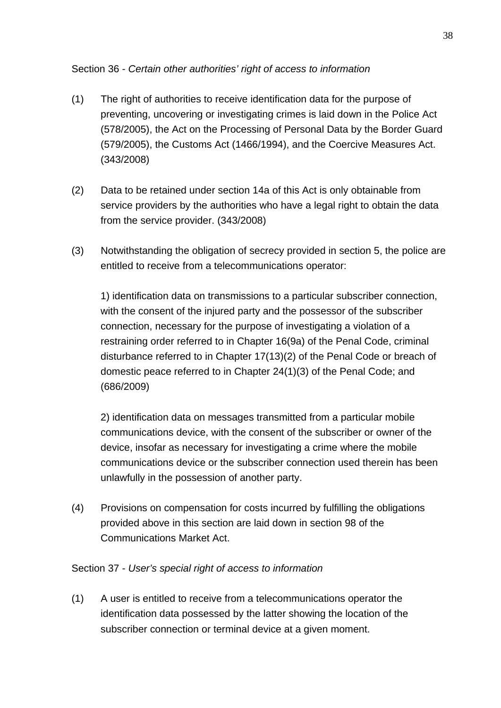# Section 36 - *Certain other authorities' right of access to information*

- (1) The right of authorities to receive identification data for the purpose of preventing, uncovering or investigating crimes is laid down in the Police Act (578/2005), the Act on the Processing of Personal Data by the Border Guard (579/2005), the Customs Act (1466/1994), and the Coercive Measures Act. (343/2008)
- (2) Data to be retained under section 14a of this Act is only obtainable from service providers by the authorities who have a legal right to obtain the data from the service provider. (343/2008)
- (3) Notwithstanding the obligation of secrecy provided in section 5, the police are entitled to receive from a telecommunications operator:

1) identification data on transmissions to a particular subscriber connection, with the consent of the injured party and the possessor of the subscriber connection, necessary for the purpose of investigating a violation of a restraining order referred to in Chapter 16(9a) of the Penal Code, criminal disturbance referred to in Chapter 17(13)(2) of the Penal Code or breach of domestic peace referred to in Chapter 24(1)(3) of the Penal Code; and (686/2009)

2) identification data on messages transmitted from a particular mobile communications device, with the consent of the subscriber or owner of the device, insofar as necessary for investigating a crime where the mobile communications device or the subscriber connection used therein has been unlawfully in the possession of another party.

(4) Provisions on compensation for costs incurred by fulfilling the obligations provided above in this section are laid down in section 98 of the Communications Market Act.

## Section 37 - *User's special right of access to information*

(1) A user is entitled to receive from a telecommunications operator the identification data possessed by the latter showing the location of the subscriber connection or terminal device at a given moment.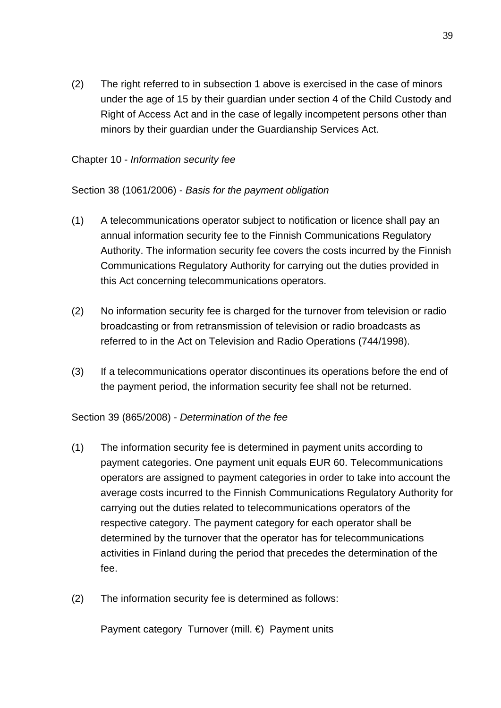(2) The right referred to in subsection 1 above is exercised in the case of minors under the age of 15 by their guardian under section 4 of the Child Custody and Right of Access Act and in the case of legally incompetent persons other than minors by their guardian under the Guardianship Services Act.

#### Chapter 10 - *Information security fee*

Section 38 (1061/2006) - *Basis for the payment obligation*

- (1) A telecommunications operator subject to notification or licence shall pay an annual information security fee to the Finnish Communications Regulatory Authority. The information security fee covers the costs incurred by the Finnish Communications Regulatory Authority for carrying out the duties provided in this Act concerning telecommunications operators.
- (2) No information security fee is charged for the turnover from television or radio broadcasting or from retransmission of television or radio broadcasts as referred to in the Act on Television and Radio Operations (744/1998).
- (3) If a telecommunications operator discontinues its operations before the end of the payment period, the information security fee shall not be returned.

Section 39 (865/2008) - *Determination of the fee*

- (1) The information security fee is determined in payment units according to payment categories. One payment unit equals EUR 60. Telecommunications operators are assigned to payment categories in order to take into account the average costs incurred to the Finnish Communications Regulatory Authority for carrying out the duties related to telecommunications operators of the respective category. The payment category for each operator shall be determined by the turnover that the operator has for telecommunications activities in Finland during the period that precedes the determination of the fee.
- (2) The information security fee is determined as follows:

Payment category Turnover (mill. €) Payment units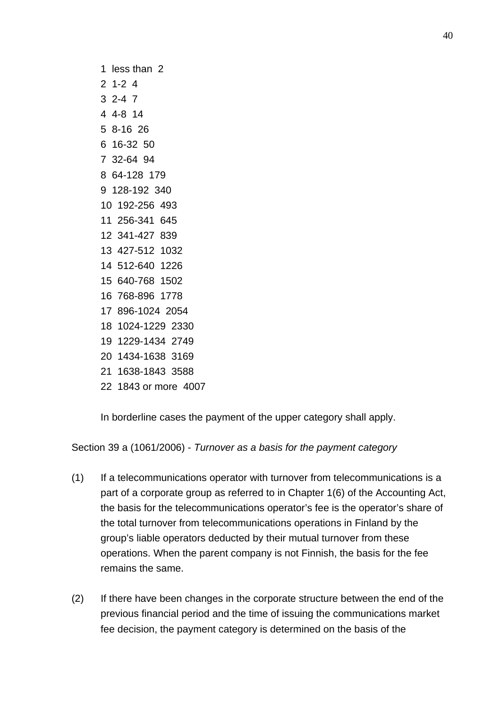In borderline cases the payment of the upper category shall apply.

Section 39 a (1061/2006) - *Turnover as a basis for the payment category*

- (1) If a telecommunications operator with turnover from telecommunications is a part of a corporate group as referred to in Chapter 1(6) of the Accounting Act, the basis for the telecommunications operator's fee is the operator's share of the total turnover from telecommunications operations in Finland by the group's liable operators deducted by their mutual turnover from these operations. When the parent company is not Finnish, the basis for the fee remains the same.
- (2) If there have been changes in the corporate structure between the end of the previous financial period and the time of issuing the communications market fee decision, the payment category is determined on the basis of the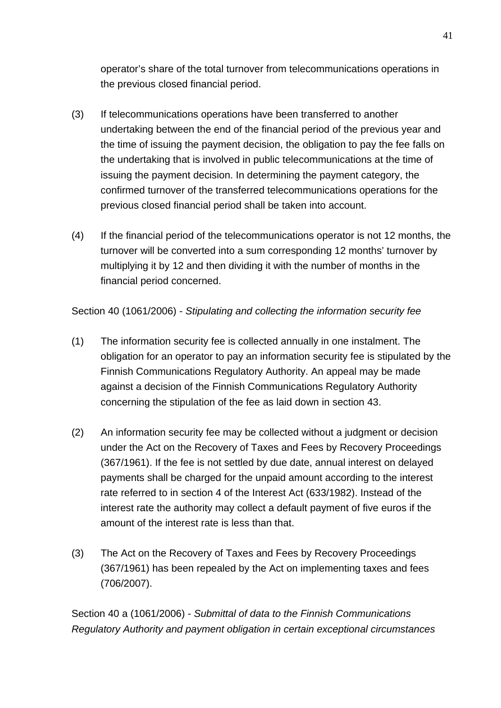operator's share of the total turnover from telecommunications operations in the previous closed financial period.

- (3) If telecommunications operations have been transferred to another undertaking between the end of the financial period of the previous year and the time of issuing the payment decision, the obligation to pay the fee falls on the undertaking that is involved in public telecommunications at the time of issuing the payment decision. In determining the payment category, the confirmed turnover of the transferred telecommunications operations for the previous closed financial period shall be taken into account.
- (4) If the financial period of the telecommunications operator is not 12 months, the turnover will be converted into a sum corresponding 12 months' turnover by multiplying it by 12 and then dividing it with the number of months in the financial period concerned.

Section 40 (1061/2006) - *Stipulating and collecting the information security fee*

- (1) The information security fee is collected annually in one instalment. The obligation for an operator to pay an information security fee is stipulated by the Finnish Communications Regulatory Authority. An appeal may be made against a decision of the Finnish Communications Regulatory Authority concerning the stipulation of the fee as laid down in section 43.
- (2) An information security fee may be collected without a judgment or decision under the Act on the Recovery of Taxes and Fees by Recovery Proceedings (367/1961). If the fee is not settled by due date, annual interest on delayed payments shall be charged for the unpaid amount according to the interest rate referred to in section 4 of the Interest Act (633/1982). Instead of the interest rate the authority may collect a default payment of five euros if the amount of the interest rate is less than that.
- (3) The Act on the Recovery of Taxes and Fees by Recovery Proceedings (367/1961) has been repealed by the Act on implementing taxes and fees (706/2007).

Section 40 a (1061/2006) - *Submittal of data to the Finnish Communications Regulatory Authority and payment obligation in certain exceptional circumstances*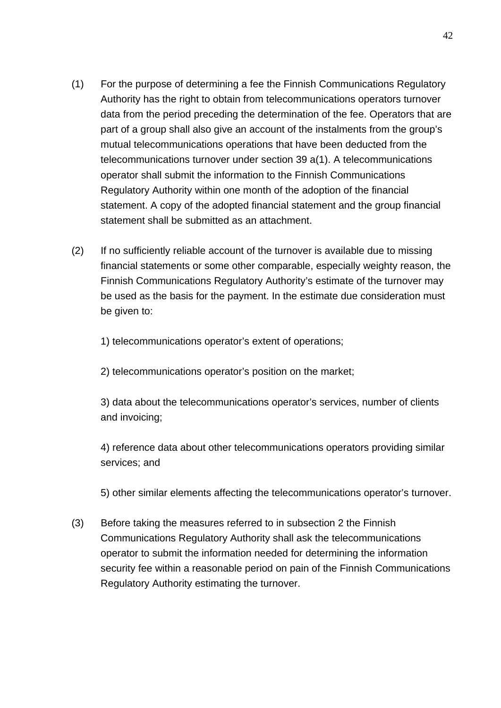- (1) For the purpose of determining a fee the Finnish Communications Regulatory Authority has the right to obtain from telecommunications operators turnover data from the period preceding the determination of the fee. Operators that are part of a group shall also give an account of the instalments from the group's mutual telecommunications operations that have been deducted from the telecommunications turnover under section 39 a(1). A telecommunications operator shall submit the information to the Finnish Communications Regulatory Authority within one month of the adoption of the financial statement. A copy of the adopted financial statement and the group financial statement shall be submitted as an attachment.
- (2) If no sufficiently reliable account of the turnover is available due to missing financial statements or some other comparable, especially weighty reason, the Finnish Communications Regulatory Authority's estimate of the turnover may be used as the basis for the payment. In the estimate due consideration must be given to:

1) telecommunications operator's extent of operations;

2) telecommunications operator's position on the market;

3) data about the telecommunications operator's services, number of clients and invoicing;

4) reference data about other telecommunications operators providing similar services; and

5) other similar elements affecting the telecommunications operator's turnover.

(3) Before taking the measures referred to in subsection 2 the Finnish Communications Regulatory Authority shall ask the telecommunications operator to submit the information needed for determining the information security fee within a reasonable period on pain of the Finnish Communications Regulatory Authority estimating the turnover.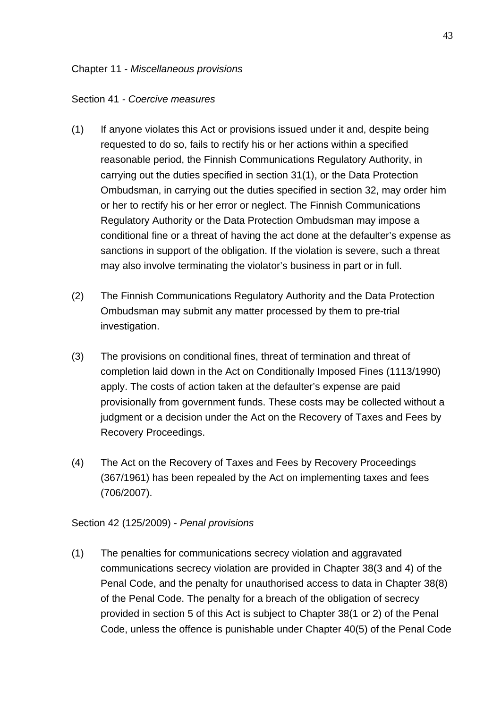#### Chapter 11 - *Miscellaneous provisions*

#### Section 41 *- Coercive measures*

- (1) If anyone violates this Act or provisions issued under it and, despite being requested to do so, fails to rectify his or her actions within a specified reasonable period, the Finnish Communications Regulatory Authority, in carrying out the duties specified in section 31(1), or the Data Protection Ombudsman, in carrying out the duties specified in section 32, may order him or her to rectify his or her error or neglect. The Finnish Communications Regulatory Authority or the Data Protection Ombudsman may impose a conditional fine or a threat of having the act done at the defaulter's expense as sanctions in support of the obligation. If the violation is severe, such a threat may also involve terminating the violator's business in part or in full.
- (2) The Finnish Communications Regulatory Authority and the Data Protection Ombudsman may submit any matter processed by them to pre-trial investigation.
- (3) The provisions on conditional fines, threat of termination and threat of completion laid down in the Act on Conditionally Imposed Fines (1113/1990) apply. The costs of action taken at the defaulter's expense are paid provisionally from government funds. These costs may be collected without a judgment or a decision under the Act on the Recovery of Taxes and Fees by Recovery Proceedings.
- (4) The Act on the Recovery of Taxes and Fees by Recovery Proceedings (367/1961) has been repealed by the Act on implementing taxes and fees (706/2007).

Section 42 (125/2009) - *Penal provisions*

(1) The penalties for communications secrecy violation and aggravated communications secrecy violation are provided in Chapter 38(3 and 4) of the Penal Code, and the penalty for unauthorised access to data in Chapter 38(8) of the Penal Code. The penalty for a breach of the obligation of secrecy provided in section 5 of this Act is subject to Chapter 38(1 or 2) of the Penal Code, unless the offence is punishable under Chapter 40(5) of the Penal Code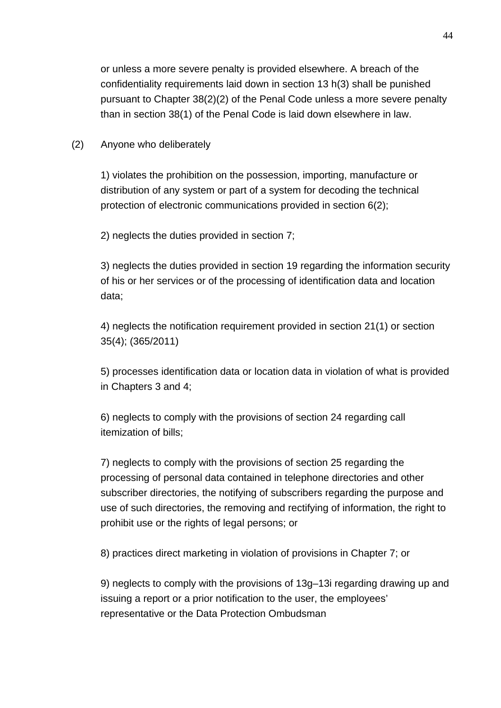or unless a more severe penalty is provided elsewhere. A breach of the confidentiality requirements laid down in section 13 h(3) shall be punished pursuant to Chapter 38(2)(2) of the Penal Code unless a more severe penalty than in section 38(1) of the Penal Code is laid down elsewhere in law.

(2) Anyone who deliberately

1) violates the prohibition on the possession, importing, manufacture or distribution of any system or part of a system for decoding the technical protection of electronic communications provided in section 6(2);

2) neglects the duties provided in section 7;

3) neglects the duties provided in section 19 regarding the information security of his or her services or of the processing of identification data and location data;

4) neglects the notification requirement provided in section 21(1) or section 35(4); (365/2011)

5) processes identification data or location data in violation of what is provided in Chapters 3 and 4;

6) neglects to comply with the provisions of section 24 regarding call itemization of bills;

7) neglects to comply with the provisions of section 25 regarding the processing of personal data contained in telephone directories and other subscriber directories, the notifying of subscribers regarding the purpose and use of such directories, the removing and rectifying of information, the right to prohibit use or the rights of legal persons; or

8) practices direct marketing in violation of provisions in Chapter 7; or

9) neglects to comply with the provisions of 13g–13i regarding drawing up and issuing a report or a prior notification to the user, the employees' representative or the Data Protection Ombudsman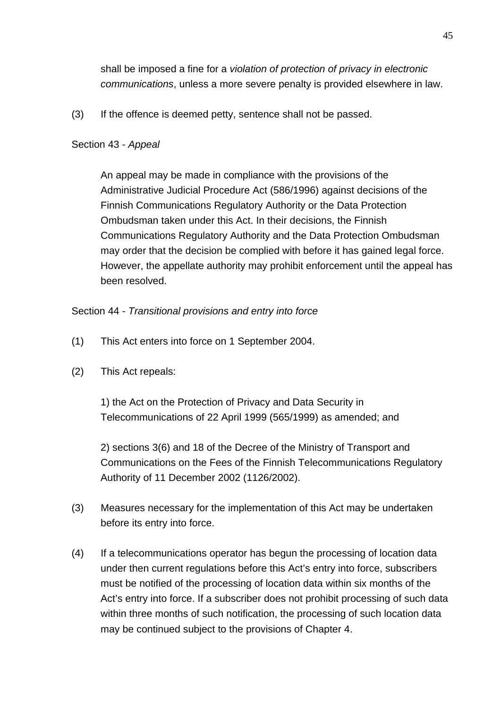shall be imposed a fine for a *violation of protection of privacy in electronic communications*, unless a more severe penalty is provided elsewhere in law.

(3) If the offence is deemed petty, sentence shall not be passed.

# Section 43 - *Appeal*

An appeal may be made in compliance with the provisions of the Administrative Judicial Procedure Act (586/1996) against decisions of the Finnish Communications Regulatory Authority or the Data Protection Ombudsman taken under this Act. In their decisions, the Finnish Communications Regulatory Authority and the Data Protection Ombudsman may order that the decision be complied with before it has gained legal force. However, the appellate authority may prohibit enforcement until the appeal has been resolved.

Section 44 - *Transitional provisions and entry into force* 

- (1) This Act enters into force on 1 September 2004.
- (2) This Act repeals:

1) the Act on the Protection of Privacy and Data Security in Telecommunications of 22 April 1999 (565/1999) as amended; and

2) sections 3(6) and 18 of the Decree of the Ministry of Transport and Communications on the Fees of the Finnish Telecommunications Regulatory Authority of 11 December 2002 (1126/2002).

- (3) Measures necessary for the implementation of this Act may be undertaken before its entry into force.
- (4) If a telecommunications operator has begun the processing of location data under then current regulations before this Act's entry into force, subscribers must be notified of the processing of location data within six months of the Act's entry into force. If a subscriber does not prohibit processing of such data within three months of such notification, the processing of such location data may be continued subject to the provisions of Chapter 4.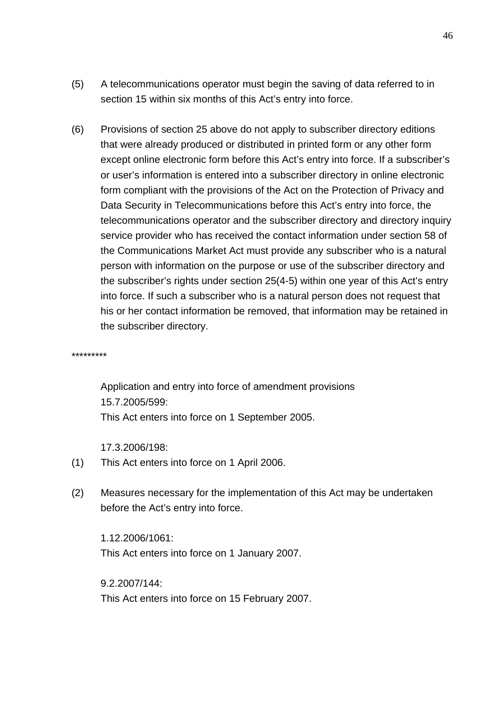- (5) A telecommunications operator must begin the saving of data referred to in section 15 within six months of this Act's entry into force.
- (6) Provisions of section 25 above do not apply to subscriber directory editions that were already produced or distributed in printed form or any other form except online electronic form before this Act's entry into force. If a subscriber's or user's information is entered into a subscriber directory in online electronic form compliant with the provisions of the Act on the Protection of Privacy and Data Security in Telecommunications before this Act's entry into force, the telecommunications operator and the subscriber directory and directory inquiry service provider who has received the contact information under section 58 of the Communications Market Act must provide any subscriber who is a natural person with information on the purpose or use of the subscriber directory and the subscriber's rights under section 25(4-5) within one year of this Act's entry into force. If such a subscriber who is a natural person does not request that his or her contact information be removed, that information may be retained in the subscriber directory.

\*\*\*\*\*\*\*\*\*

Application and entry into force of amendment provisions 15.7.2005/599: This Act enters into force on 1 September 2005.

17.3.2006/198:

- (1) This Act enters into force on 1 April 2006.
- (2) Measures necessary for the implementation of this Act may be undertaken before the Act's entry into force.

1.12.2006/1061: This Act enters into force on 1 January 2007.

9.2.2007/144: This Act enters into force on 15 February 2007.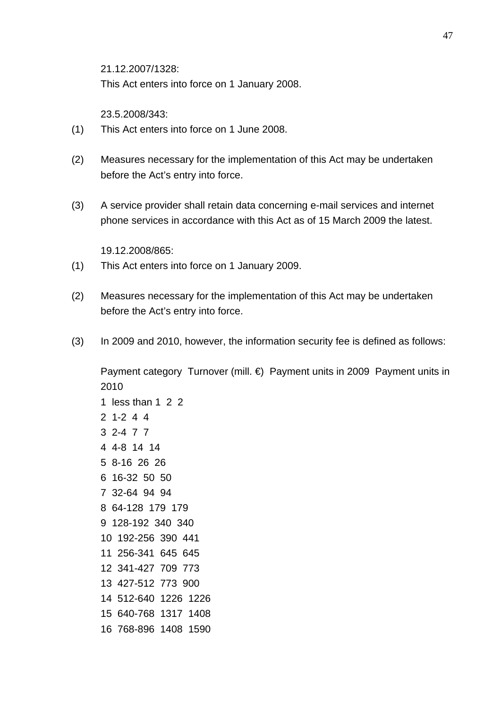21.12.2007/1328:

This Act enters into force on 1 January 2008.

23.5.2008/343:

- (1) This Act enters into force on 1 June 2008.
- (2) Measures necessary for the implementation of this Act may be undertaken before the Act's entry into force.
- (3) A service provider shall retain data concerning e-mail services and internet phone services in accordance with this Act as of 15 March 2009 the latest.

19.12.2008/865:

- (1) This Act enters into force on 1 January 2009.
- (2) Measures necessary for the implementation of this Act may be undertaken before the Act's entry into force.
- (3) In 2009 and 2010, however, the information security fee is defined as follows:

Payment category Turnover (mill. €) Payment units in 2009 Payment units in 2010